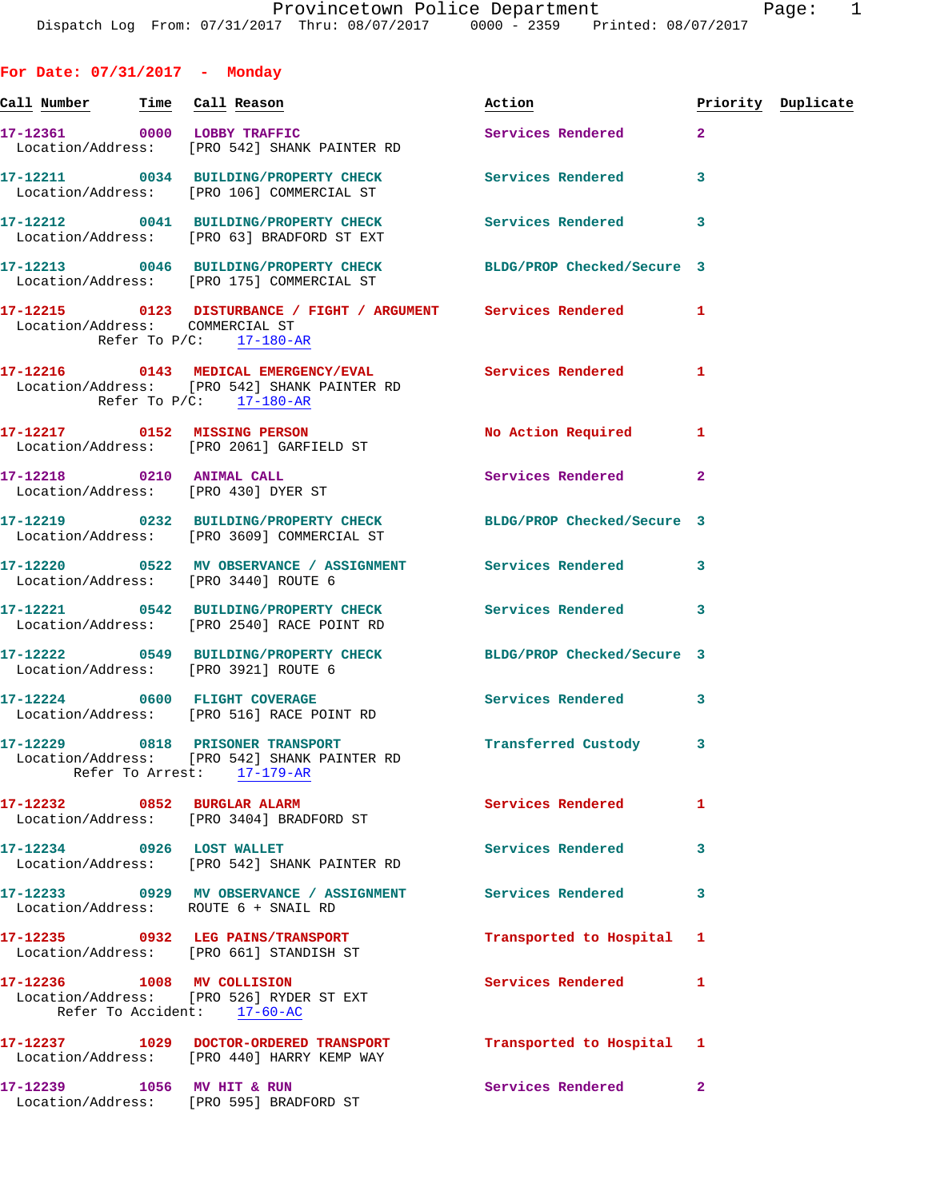**For Date: 07/31/2017 - Monday**

Location/Address: [PRO 595] BRADFORD ST

| Call Number Time Call Reason    |                                                                                                                                                | Action                    |                         | Priority Duplicate |
|---------------------------------|------------------------------------------------------------------------------------------------------------------------------------------------|---------------------------|-------------------------|--------------------|
|                                 | 17-12361 0000 LOBBY TRAFFIC<br>Location/Address: [PRO 542] SHANK PAINTER RD                                                                    | Services Rendered         | $\overline{2}$          |                    |
|                                 | 17-12211 0034 BUILDING/PROPERTY CHECK Services Rendered<br>Location/Address: [PRO 106] COMMERCIAL ST                                           |                           | $\overline{\mathbf{3}}$ |                    |
|                                 | 17-12212 0041 BUILDING/PROPERTY CHECK<br>Location/Address: [PRO 63] BRADFORD ST EXT                                                            | Services Rendered         | 3                       |                    |
|                                 | 17-12213 0046 BUILDING/PROPERTY CHECK BLDG/PROP Checked/Secure 3<br>Location/Address: [PRO 175] COMMERCIAL ST                                  |                           |                         |                    |
| Location/Address: COMMERCIAL ST | 17-12215 0123 DISTURBANCE / FIGHT / ARGUMENT Services Rendered<br>Refer To $P/C$ : 17-180-AR                                                   |                           | $\mathbf{1}$            |                    |
|                                 | 17-12216 0143 MEDICAL EMERGENCY/EVAL Services Rendered<br>Location/Address: [PRO 542] SHANK PAINTER RD<br>Refer To $P/C$ : 17-180-AR           |                           | 1                       |                    |
|                                 | 17-12217 0152 MISSING PERSON<br>Location/Address: [PRO 2061] GARFIELD ST                                                                       | No Action Required        | 1                       |                    |
|                                 | 17-12218 0210 ANIMAL CALL<br>Location/Address: [PRO 430] DYER ST                                                                               | Services Rendered         | $\mathbf{2}$            |                    |
|                                 | 17-12219 0232 BUILDING/PROPERTY CHECK BLDG/PROP Checked/Secure 3<br>Location/Address: [PRO 3609] COMMERCIAL ST                                 |                           |                         |                    |
|                                 | 17-12220 0522 MV OBSERVANCE / ASSIGNMENT Services Rendered<br>Location/Address: [PRO 3440] ROUTE 6                                             |                           | 3                       |                    |
|                                 | 17-12221 0542 BUILDING/PROPERTY CHECK Services Rendered<br>Location/Address: [PRO 2540] RACE POINT RD                                          |                           | 3                       |                    |
|                                 | 17-12222 0549 BUILDING/PROPERTY CHECK BLDG/PROP Checked/Secure 3<br>Location/Address: [PRO 3921] ROUTE 6                                       |                           |                         |                    |
|                                 | 17-12224 0600 FLIGHT COVERAGE<br>Location/Address: [PRO 516] RACE POINT RD                                                                     | <b>Services Rendered</b>  | 3                       |                    |
|                                 | 17-12229 0818 PRISONER TRANSPORT TRANSTORT Transferred Custody 3<br>Location/Address: [PRO 542] SHANK PAINTER RD<br>Refer To Arrest: 17-179-AR |                           |                         |                    |
|                                 | 17-12232 0852 BURGLAR ALARM<br>Location/Address: [PRO 3404] BRADFORD ST                                                                        | Services Rendered         | 1                       |                    |
| 17-12234 0926 LOST WALLET       | Location/Address: [PRO 542] SHANK PAINTER RD                                                                                                   | Services Rendered         | 3                       |                    |
|                                 | 17-12233 0929 MV OBSERVANCE / ASSIGNMENT<br>Location/Address: ROUTE 6 + SNAIL RD                                                               | Services Rendered         | 3                       |                    |
|                                 | 17-12235 0932 LEG PAINS/TRANSPORT<br>Location/Address: [PRO 661] STANDISH ST                                                                   | Transported to Hospital 1 |                         |                    |
| 17-12236 1008 MV COLLISION      | Location/Address: [PRO 526] RYDER ST EXT<br>Refer To Accident: 17-60-AC                                                                        | Services Rendered         | 1                       |                    |
|                                 | 17-12237 1029 DOCTOR-ORDERED TRANSPORT<br>Location/Address: [PRO 440] HARRY KEMP WAY                                                           | Transported to Hospital 1 |                         |                    |
| 17-12239 1056 MV HIT & RUN      |                                                                                                                                                | Services Rendered         | $\mathbf{2}$            |                    |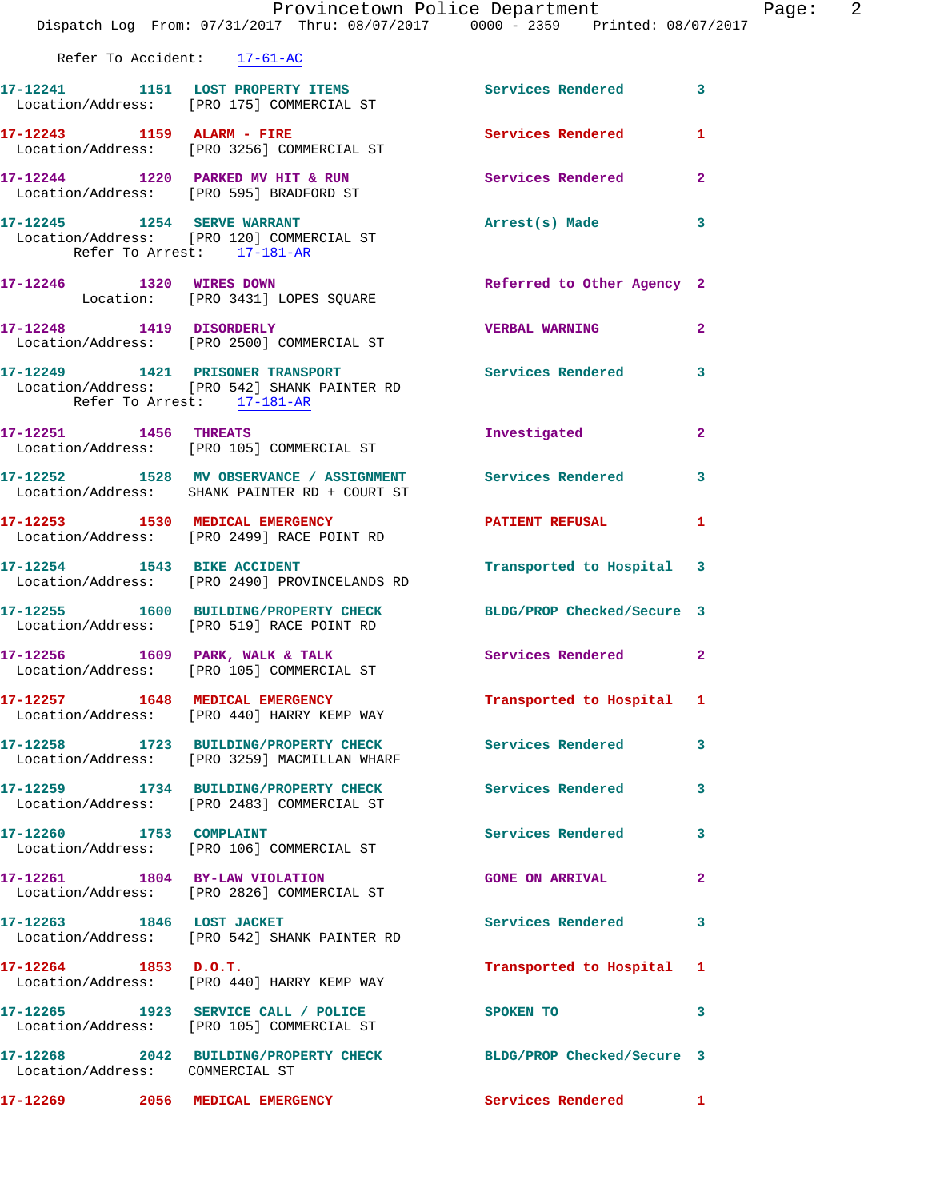|                                 | Provincetown Police Department<br>Dispatch Log From: 07/31/2017 Thru: 08/07/2017 0000 - 2359 Printed: 08/07/2017 |                            | Page: 2        |
|---------------------------------|------------------------------------------------------------------------------------------------------------------|----------------------------|----------------|
| Refer To Accident: 17-61-AC     |                                                                                                                  |                            |                |
|                                 | 17-12241 1151 LOST PROPERTY ITEMS Services Rendered 3<br>Location/Address: [PRO 175] COMMERCIAL ST               |                            |                |
|                                 | 17-12243 1159 ALARM - FIRE<br>Location/Address: [PRO 3256] COMMERCIAL ST                                         | Services Rendered          | 1              |
|                                 | 17-12244 1220 PARKED MV HIT & RUN<br>Location/Address: [PRO 595] BRADFORD ST                                     | Services Rendered          | $\overline{2}$ |
| Refer To Arrest: 17-181-AR      | 17-12245 1254 SERVE WARRANT<br>Location/Address: [PRO 120] COMMERCIAL ST                                         | Arrest(s) Made             | $\mathbf{3}$   |
|                                 | 17-12246 1320 WIRES DOWN<br>Location: [PRO 3431] LOPES SQUARE                                                    | Referred to Other Agency 2 |                |
|                                 | 17-12248 1419 DISORDERLY<br>Location/Address: [PRO 2500] COMMERCIAL ST                                           | <b>VERBAL WARNING</b>      | $\mathbf{2}$   |
| Refer To Arrest: 17-181-AR      | 17-12249 1421 PRISONER TRANSPORT Services Rendered 3<br>Location/Address: [PRO 542] SHANK PAINTER RD             |                            |                |
|                                 | 17-12251 1456 THREATS<br>Location/Address: [PRO 105] COMMERCIAL ST                                               | Investigated               | $\mathbf{2}$   |
|                                 | 17-12252 1528 MV OBSERVANCE / ASSIGNMENT Services Rendered<br>Location/Address: SHANK PAINTER RD + COURT ST      |                            | 3              |
|                                 | 17-12253 1530 MEDICAL EMERGENCY<br>Location/Address: [PRO 2499] RACE POINT RD                                    | PATIENT REFUSAL            | 1              |
|                                 | 17-12254 1543 BIKE ACCIDENT<br>Location/Address: [PRO 2490] PROVINCELANDS RD                                     | Transported to Hospital 3  |                |
|                                 | 17-12255 1600 BUILDING/PROPERTY CHECK BLDG/PROP Checked/Secure 3<br>Location/Address: [PRO 519] RACE POINT RD    |                            |                |
|                                 | 17-12256 1609 PARK, WALK & TALK 1999 Services Rendered<br>Location/Address: [PRO 105] COMMERCIAL ST              |                            | $\mathbf{2}$   |
|                                 | 17-12257 1648 MEDICAL EMERGENCY<br>Location/Address: [PRO 440] HARRY KEMP WAY                                    | Transported to Hospital 1  |                |
|                                 | 17-12258 1723 BUILDING/PROPERTY CHECK<br>Location/Address: [PRO 3259] MACMILLAN WHARF                            | <b>Services Rendered</b>   | 3              |
|                                 | 17-12259 1734 BUILDING/PROPERTY CHECK<br>Location/Address: [PRO 2483] COMMERCIAL ST                              | <b>Services Rendered</b>   | 3              |
| 17-12260 1753 COMPLAINT         | Location/Address: [PRO 106] COMMERCIAL ST                                                                        | Services Rendered          | 3              |
|                                 | 17-12261 1804 BY-LAW VIOLATION<br>Location/Address: [PRO 2826] COMMERCIAL ST                                     | <b>GONE ON ARRIVAL</b>     | $\overline{2}$ |
| 17-12263 1846 LOST JACKET       | Location/Address: [PRO 542] SHANK PAINTER RD                                                                     | Services Rendered          | 3              |
| $17 - 12264$ 1853 D.O.T.        | Location/Address: [PRO 440] HARRY KEMP WAY                                                                       | Transported to Hospital 1  |                |
|                                 | 17-12265 1923 SERVICE CALL / POLICE<br>Location/Address: [PRO 105] COMMERCIAL ST                                 | SPOKEN TO                  | 3              |
| Location/Address: COMMERCIAL ST | 17-12268 2042 BUILDING/PROPERTY CHECK BLDG/PROP Checked/Secure 3                                                 |                            |                |
|                                 | 17-12269 2056 MEDICAL EMERGENCY                                                                                  | Services Rendered 1        |                |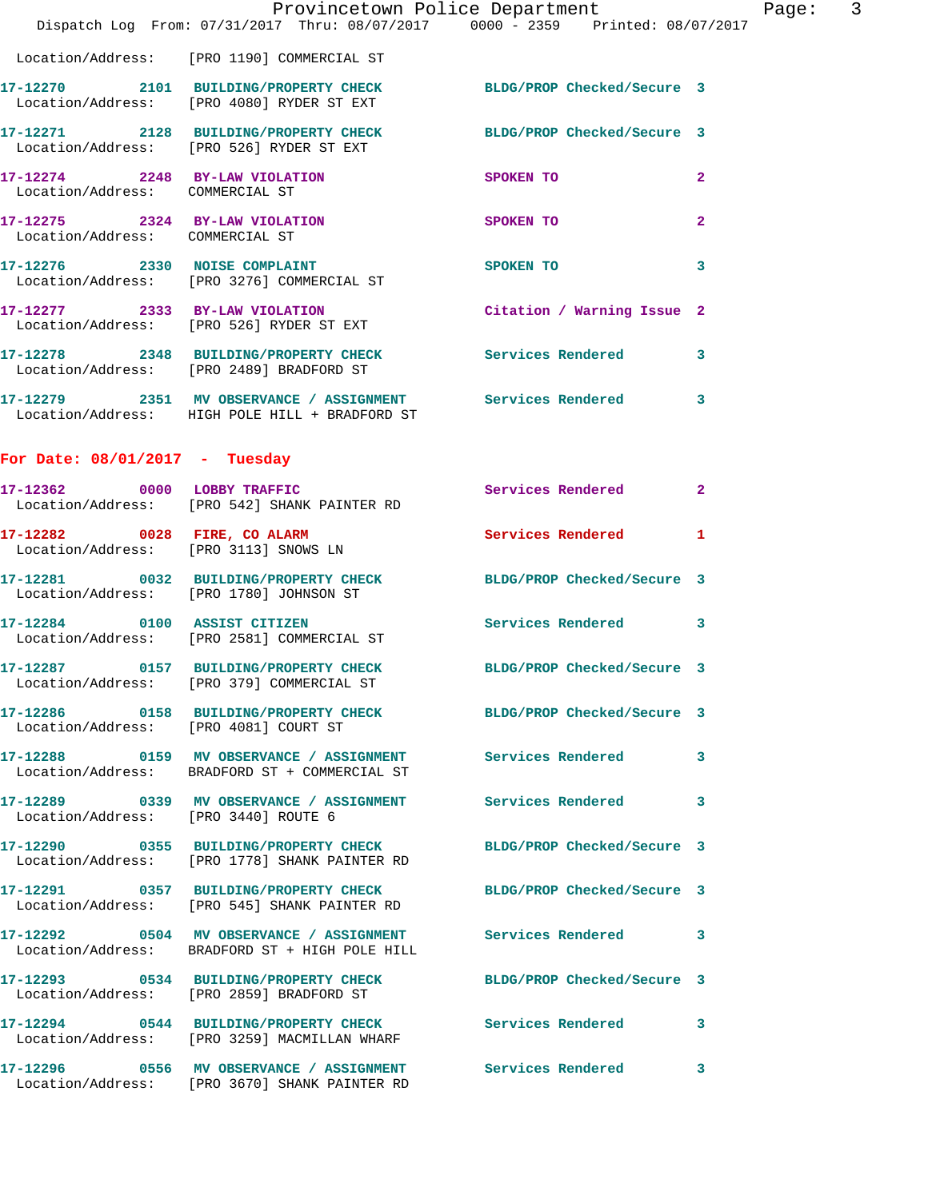|                                                                   | Provincetown Police Department<br>Dispatch Log From: 07/31/2017 Thru: 08/07/2017 0000 - 2359 Printed: 08/07/2017 |                            |                |
|-------------------------------------------------------------------|------------------------------------------------------------------------------------------------------------------|----------------------------|----------------|
|                                                                   | Location/Address: [PRO 1190] COMMERCIAL ST                                                                       |                            |                |
|                                                                   | 17-12270 2101 BUILDING/PROPERTY CHECK<br>Location/Address: [PRO 4080] RYDER ST EXT                               | BLDG/PROP Checked/Secure 3 |                |
|                                                                   | 17-12271 2128 BUILDING/PROPERTY CHECK BLDG/PROP Checked/Secure 3<br>Location/Address: [PRO 526] RYDER ST EXT     |                            |                |
| 17-12274 2248 BY-LAW VIOLATION<br>Location/Address: COMMERCIAL ST |                                                                                                                  | SPOKEN TO                  | $\overline{a}$ |
| 17-12275 2324 BY-LAW VIOLATION<br>Location/Address: COMMERCIAL ST |                                                                                                                  | <b>SPOKEN TO</b>           | $\overline{a}$ |
|                                                                   | 17-12276 2330 NOISE COMPLAINT<br>Location/Address: [PRO 3276] COMMERCIAL ST                                      | SPOKEN TO                  | 3              |
|                                                                   | 17-12277 2333 BY-LAW VIOLATION<br>Location/Address: [PRO 526] RYDER ST EXT                                       | Citation / Warning Issue 2 |                |
|                                                                   | 17-12278 2348 BUILDING/PROPERTY CHECK<br>Location/Address: [PRO 2489] BRADFORD ST                                | <b>Services Rendered</b>   | 3              |
|                                                                   | 17-12279 2351 MV OBSERVANCE / ASSIGNMENT Services Rendered<br>Location/Address: HIGH POLE HILL + BRADFORD ST     |                            | 3              |
| For Date: $08/01/2017$ - Tuesday                                  |                                                                                                                  |                            |                |
|                                                                   | 17-12362 0000 LOBBY TRAFFIC<br>Location/Address: [PRO 542] SHANK PAINTER RD                                      | Services Rendered          | $\mathbf{2}$   |
| 17-12282 0028 FIRE, CO ALARM                                      | Location/Address: [PRO 3113] SNOWS LN                                                                            | Services Rendered          | 1              |
| Location/Address: [PRO 1780] JOHNSON ST                           | 17-12281 0032 BUILDING/PROPERTY CHECK                                                                            | BLDG/PROP Checked/Secure 3 |                |
| 17-12284 0100 ASSIST CITIZEN                                      | Location/Address: [PRO 2581] COMMERCIAL ST                                                                       | <b>Services Rendered</b>   | 3              |
|                                                                   | 17-12287 0157 BUILDING/PROPERTY CHECK BLDG/PROP Checked/Secure 3<br>Location/Address: [PRO 379] COMMERCIAL ST    |                            |                |
| Location/Address: [PRO 4081] COURT ST                             | 17-12286 0158 BUILDING/PROPERTY CHECK BLDG/PROP Checked/Secure 3                                                 |                            |                |
|                                                                   | 17-12288 0159 MV OBSERVANCE / ASSIGNMENT Services Rendered<br>Location/Address: BRADFORD ST + COMMERCIAL ST      |                            | 3              |
| Location/Address: [PRO 3440] ROUTE 6                              | 17-12289 		 0339 MV OBSERVANCE / ASSIGNMENT Services Rendered                                                    |                            | 3              |
|                                                                   | 17-12290 0355 BUILDING/PROPERTY CHECK<br>Location/Address: [PRO 1778] SHANK PAINTER RD                           | BLDG/PROP Checked/Secure 3 |                |
|                                                                   | 17-12291 0357 BUILDING/PROPERTY CHECK<br>Location/Address: [PRO 545] SHANK PAINTER RD                            | BLDG/PROP Checked/Secure 3 |                |
|                                                                   | 17-12292 0504 MV OBSERVANCE / ASSIGNMENT Services Rendered<br>Location/Address: BRADFORD ST + HIGH POLE HILL     |                            | 3              |
|                                                                   | 17-12293 0534 BUILDING/PROPERTY CHECK<br>Location/Address: [PRO 2859] BRADFORD ST                                | BLDG/PROP Checked/Secure 3 |                |
|                                                                   | 17-12294 0544 BUILDING/PROPERTY CHECK<br>Location/Address: [PRO 3259] MACMILLAN WHARF                            | <b>Services Rendered</b>   | 3              |
|                                                                   | 17-12296 0556 MV OBSERVANCE / ASSIGNMENT                                                                         | <b>Services Rendered</b>   | 3              |

Location/Address: [PRO 3670] SHANK PAINTER RD

Page:  $3<sup>17</sup>$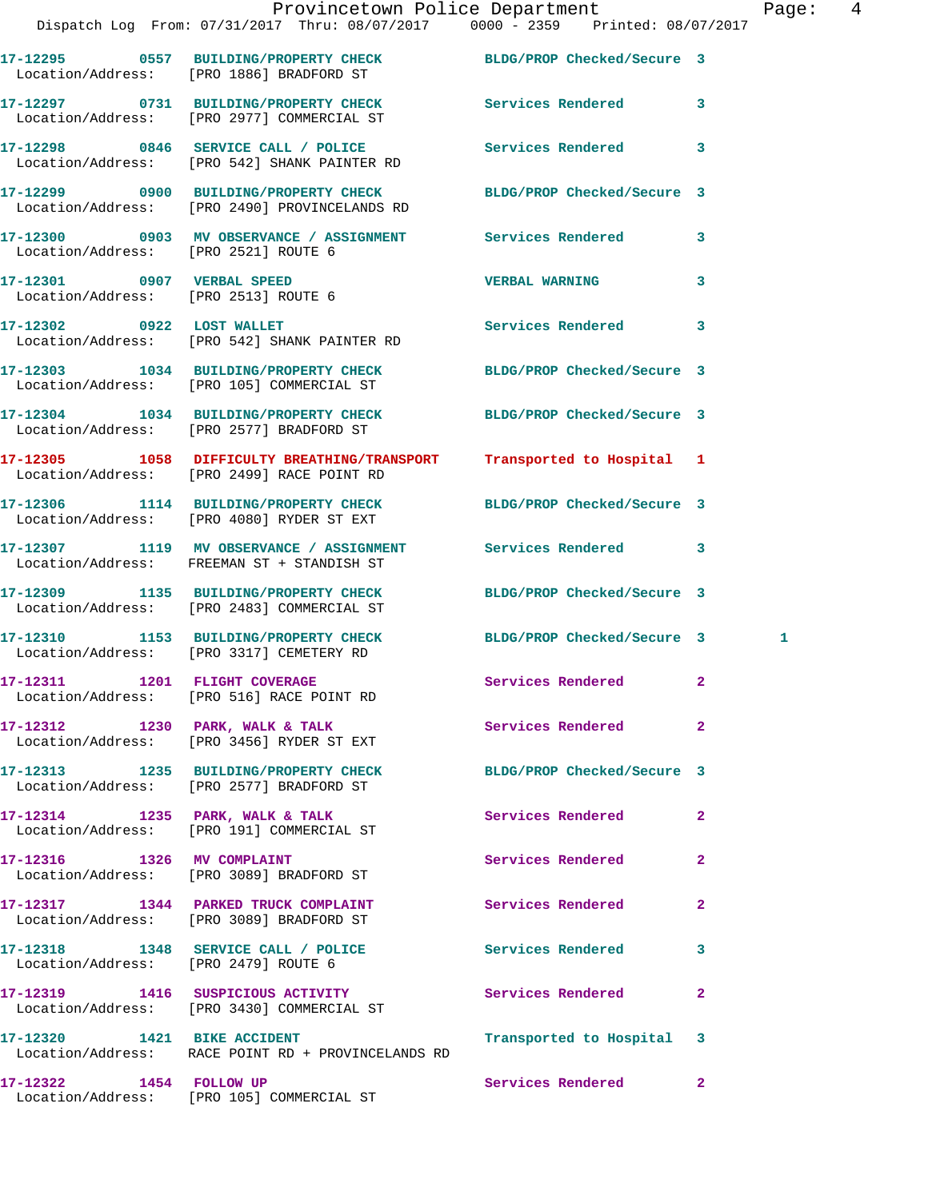**17-12297 0731 BUILDING/PROPERTY CHECK Services Rendered 3**  Location/Address: [PRO 2977] COMMERCIAL ST

**17-12299 0900 BUILDING/PROPERTY CHECK BLDG/PROP Checked/Secure 3** 

**17-12300 0903 MV OBSERVANCE / ASSIGNMENT Services Rendered 3** 

Location/Address: [PRO 2513] ROUTE 6

**17-12303 1034 BUILDING/PROPERTY CHECK BLDG/PROP Checked/Secure 3** 

**17-12304 1034 BUILDING/PROPERTY CHECK BLDG/PROP Checked/Secure 3** 

Location/Address: [PRO 2499] RACE POINT RD

Location/Address: [PRO 3089] BRADFORD ST

Location/Address: [PRO 2479] ROUTE 6

**17-12298 0846 SERVICE CALL / POLICE Services Rendered 3**  Location/Address: [PRO 542] SHANK PAINTER RD

Location/Address: [PRO 2490] PROVINCELANDS RD

Location/Address: [PRO 2521] ROUTE 6

**17-12301 0907 VERBAL SPEED VERBAL WARNING 3** 

Location/Address: [PRO 542] SHANK PAINTER RD

Location/Address: [PRO 105] COMMERCIAL ST

Location/Address: [PRO 2577] BRADFORD ST

**17-12305 1058 DIFFICULTY BREATHING/TRANSPORT Transported to Hospital 1** 

**17-12306 1114 BUILDING/PROPERTY CHECK BLDG/PROP Checked/Secure 3** 

Location/Address: [PRO 4080] RYDER ST EXT

Location/Address: FREEMAN ST + STANDISH ST

Location/Address: [PRO 2483] COMMERCIAL ST

**17-12310 1153 BUILDING/PROPERTY CHECK BLDG/PROP Checked/Secure 3 1**  Location/Address: [PRO 3317] CEMETERY RD

Location/Address: [PRO 516] RACE POINT RD

**17-12312 1230 PARK, WALK & TALK Services Rendered 2**  Location/Address: [PRO 3456] RYDER ST EXT

Location/Address: [PRO 2577] BRADFORD ST

17-12314 1235 PARK, WALK & TALK **Services Rendered** 2 Location/Address: [PRO 191] COMMERCIAL ST

Location/Address: [PRO 3089] BRADFORD ST

**17-12317 1344 PARKED TRUCK COMPLAINT Services Rendered 2** 

**17-12318 1348 SERVICE CALL / POLICE Services Rendered 3** 

**17-12319 1416 SUSPICIOUS ACTIVITY Services Rendered 2**  Location/Address: [PRO 3430] COMMERCIAL ST

**17-12320 1421 BIKE ACCIDENT Transported to Hospital 3**  Location/Address: RACE POINT RD + PROVINCELANDS RD

**17-12322 1454 FOLLOW UP Services Rendered 2**  Location/Address: [PRO 105] COMMERCIAL ST

**17-12302 0922 LOST WALLET Services Rendered 3** 

**17-12307 1119 MV OBSERVANCE / ASSIGNMENT Services Rendered 3** 

**17-12309 1135 BUILDING/PROPERTY CHECK BLDG/PROP Checked/Secure 3** 

**17-12311 1201 FLIGHT COVERAGE Services Rendered 2** 

**17-12313 1235 BUILDING/PROPERTY CHECK BLDG/PROP Checked/Secure 3** 

**17-12316 1326 MV COMPLAINT Services Rendered 2**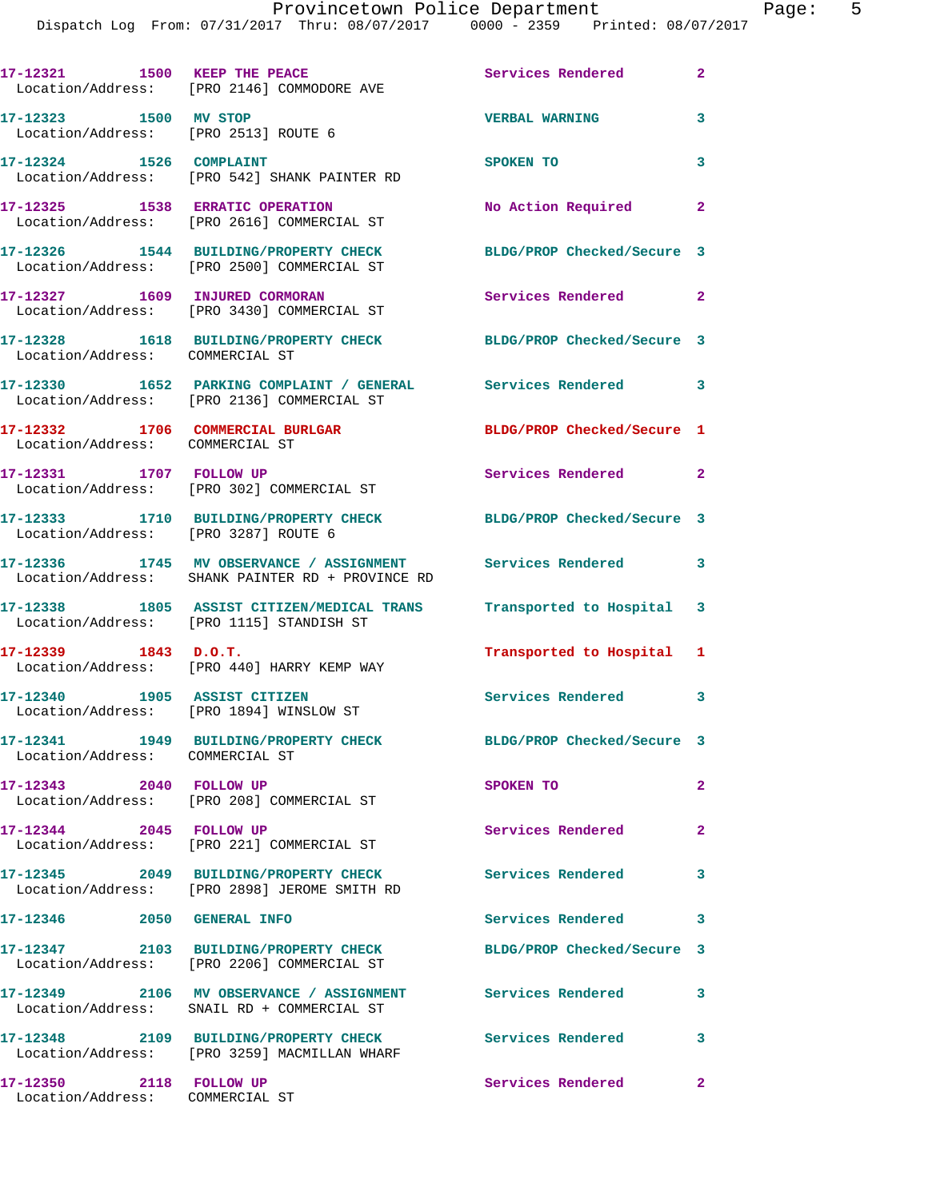|                                                                     | 17-12321 1500 KEEP THE PEACE<br>Location/Address: [PRO 2146] COMMODORE AVE                                  | Services Rendered          | $\mathbf{2}$ |
|---------------------------------------------------------------------|-------------------------------------------------------------------------------------------------------------|----------------------------|--------------|
| 17-12323 1500 MV STOP<br>Location/Address: [PRO 2513] ROUTE 6       |                                                                                                             | <b>VERBAL WARNING</b>      | 3            |
| 17-12324 1526 COMPLAINT                                             | Location/Address: [PRO 542] SHANK PAINTER RD                                                                | <b>SPOKEN TO</b>           | 3            |
| 17-12325 1538 ERRATIC OPERATION                                     | Location/Address: [PRO 2616] COMMERCIAL ST                                                                  | No Action Required         | $\sim$ 2     |
|                                                                     | 17-12326 1544 BUILDING/PROPERTY CHECK<br>Location/Address: [PRO 2500] COMMERCIAL ST                         | BLDG/PROP Checked/Secure 3 |              |
|                                                                     | 17-12327 1609 INJURED CORMORAN<br>Location/Address: [PRO 3430] COMMERCIAL ST                                | Services Rendered 2        |              |
| Location/Address: COMMERCIAL ST                                     | 17-12328 1618 BUILDING/PROPERTY CHECK BLDG/PROP Checked/Secure 3                                            |                            |              |
|                                                                     | 17-12330 1652 PARKING COMPLAINT / GENERAL Services Rendered 3<br>Location/Address: [PRO 2136] COMMERCIAL ST |                            |              |
| 17-12332 1706 COMMERCIAL BURLGAR<br>Location/Address: COMMERCIAL ST |                                                                                                             | BLDG/PROP Checked/Secure 1 |              |
| 17-12331 1707 FOLLOW UP                                             | Location/Address: [PRO 302] COMMERCIAL ST                                                                   | Services Rendered 2        |              |
| Location/Address: [PRO 3287] ROUTE 6                                | 17-12333 1710 BUILDING/PROPERTY CHECK                                                                       | BLDG/PROP Checked/Secure 3 |              |
|                                                                     | 17-12336 1745 MV OBSERVANCE / ASSIGNMENT<br>Location/Address: SHANK PAINTER RD + PROVINCE RD                | Services Rendered 3        |              |
|                                                                     | 17-12338 1805 ASSIST CITIZEN/MEDICAL TRANS<br>Location/Address: [PRO 1115] STANDISH ST                      | Transported to Hospital 3  |              |
| $17 - 12339$ 1843 D.O.T.                                            | Location/Address: [PRO 440] HARRY KEMP WAY                                                                  | Transported to Hospital 1  |              |
| 17-12340 1905 ASSIST CITIZEN                                        | Location/Address: [PRO 1894] WINSLOW ST                                                                     | Services Rendered 3        |              |
| Location/Address: COMMERCIAL ST                                     | 17-12341 1949 BUILDING/PROPERTY CHECK                                                                       | BLDG/PROP Checked/Secure 3 |              |
| 17-12343 2040 FOLLOW UP                                             | Location/Address: [PRO 208] COMMERCIAL ST                                                                   | SPOKEN TO                  | $\mathbf{2}$ |
| 17-12344 2045 FOLLOW UP                                             | Location/Address: [PRO 221] COMMERCIAL ST                                                                   | Services Rendered          | $\mathbf{2}$ |
|                                                                     | 17-12345 2049 BUILDING/PROPERTY CHECK<br>Location/Address: [PRO 2898] JEROME SMITH RD                       | Services Rendered 3        |              |
| 17-12346 2050 GENERAL INFO                                          |                                                                                                             | Services Rendered          | 3            |
|                                                                     | 17-12347 2103 BUILDING/PROPERTY CHECK<br>Location/Address: [PRO 2206] COMMERCIAL ST                         | BLDG/PROP Checked/Secure 3 |              |
|                                                                     | 17-12349 2106 MV OBSERVANCE / ASSIGNMENT Services Rendered<br>Location/Address: SNAIL RD + COMMERCIAL ST    |                            | 3            |
|                                                                     | 17-12348 2109 BUILDING/PROPERTY CHECK<br>Location/Address: [PRO 3259] MACMILLAN WHARF                       | Services Rendered 3        |              |
| 17-12350 2118 FOLLOW UP<br>Location/Address: COMMERCIAL ST          |                                                                                                             | Services Rendered          | $\mathbf{2}$ |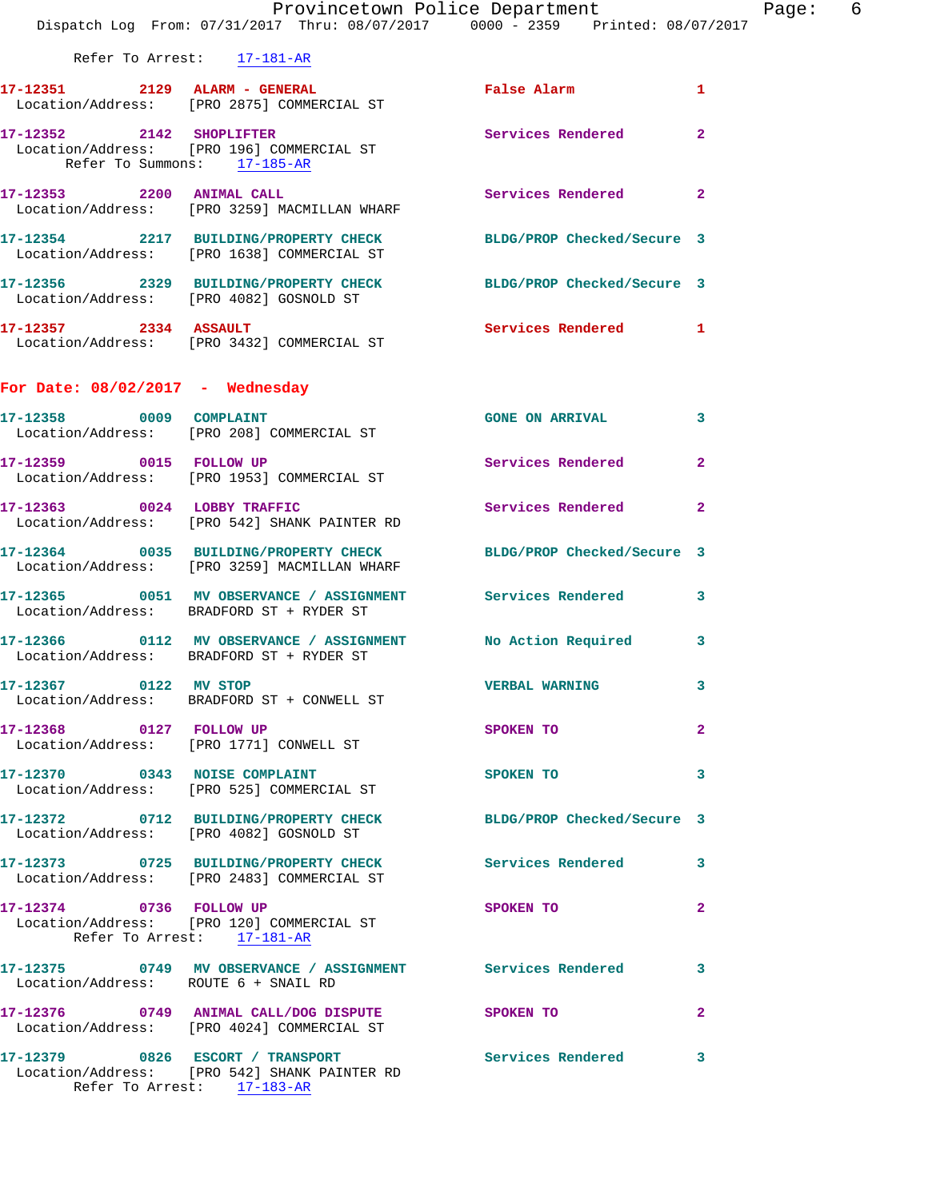|                                      | Dispatch Log From: 07/31/2017 Thru: 08/07/2017 0000 - 2359 Printed: 08/07/2017                                   | Provincetown Police Department Page: 6 |              |  |
|--------------------------------------|------------------------------------------------------------------------------------------------------------------|----------------------------------------|--------------|--|
| Refer To Arrest: 17-181-AR           |                                                                                                                  |                                        |              |  |
|                                      | 17-12351 2129 ALARM - GENERAL<br>Location/Address: [PRO 2875] COMMERCIAL ST                                      | False Alarm                            | $\mathbf{1}$ |  |
| Refer To Summons: 17-185-AR          | 17-12352 2142 SHOPLIFTER<br>Location/Address: [PRO 196] COMMERCIAL ST                                            | <b>Services Rendered</b>               | $\mathbf{2}$ |  |
|                                      | 17-12353 2200 ANIMAL CALL Services Rendered 2<br>Location/Address: [PRO 3259] MACMILLAN WHARF                    |                                        |              |  |
|                                      | 17-12354 2217 BUILDING/PROPERTY CHECK BLDG/PROP Checked/Secure 3<br>Location/Address: [PRO 1638] COMMERCIAL ST   |                                        |              |  |
|                                      | 17-12356 2329 BUILDING/PROPERTY CHECK BLDG/PROP Checked/Secure 3<br>Location/Address: [PRO 4082] GOSNOLD ST      |                                        |              |  |
|                                      | $17 - 12357$ 2334 ASSAULT<br>Location/Address: [PRO 3432] COMMERCIAL ST                                          | Services Rendered 1                    |              |  |
| For Date: $08/02/2017 -$ Wednesday   |                                                                                                                  |                                        |              |  |
|                                      | 17-12358 0009 COMPLAINT<br>Location/Address: [PRO 208] COMMERCIAL ST                                             | <b>GONE ON ARRIVAL</b>                 | $\mathbf{3}$ |  |
|                                      | 17-12359 0015 FOLLOW UP<br>Location/Address: [PRO 1953] COMMERCIAL ST                                            | <b>Services Rendered</b>               | $\mathbf{2}$ |  |
|                                      | 17-12363 0024 LOBBY TRAFFIC<br>Location/Address: [PRO 542] SHANK PAINTER RD                                      | <b>Services Rendered</b>               | $\mathbf{2}$ |  |
|                                      | 17-12364 0035 BUILDING/PROPERTY CHECK BLDG/PROP Checked/Secure 3<br>Location/Address: [PRO 3259] MACMILLAN WHARF |                                        |              |  |
|                                      | 17-12365 0051 MV OBSERVANCE / ASSIGNMENT Services Rendered 3<br>Location/Address: BRADFORD ST + RYDER ST         |                                        |              |  |
|                                      | 17-12366 6 0112 MV OBSERVANCE / ASSIGNMENT No Action Required<br>Location/Address: BRADFORD ST + RYDER ST        |                                        | $\mathbf{3}$ |  |
| 17-12367 0122 MV STOP                | Location/Address: BRADFORD ST + CONWELL ST                                                                       | <b>VERBAL WARNING</b>                  | 3            |  |
| 17-12368 0127 FOLLOW UP              | Location/Address: [PRO 1771] CONWELL ST                                                                          | SPOKEN TO                              | $\mathbf{2}$ |  |
|                                      | 17-12370 0343 NOISE COMPLAINT<br>Location/Address: [PRO 525] COMMERCIAL ST                                       | SPOKEN TO                              | 3            |  |
|                                      | 17-12372 0712 BUILDING/PROPERTY CHECK BLDG/PROP Checked/Secure 3<br>Location/Address: [PRO 4082] GOSNOLD ST      |                                        |              |  |
|                                      | 17-12373  0725  BUILDING/PROPERTY CHECK  Services Rendered  3<br>Location/Address: [PRO 2483] COMMERCIAL ST      |                                        |              |  |
| Refer To Arrest: 17-181-AR           | 17-12374 0736 FOLLOW UP<br>Location/Address: [PRO 120] COMMERCIAL ST                                             | SPOKEN TO                              | $\mathbf{2}$ |  |
| Location/Address: ROUTE 6 + SNAIL RD | 17-12375 0749 MV OBSERVANCE / ASSIGNMENT Services Rendered 3                                                     |                                        |              |  |
|                                      | 17-12376 0749 ANIMAL CALL/DOG DISPUTE SPOKEN TO<br>Location/Address: [PRO 4024] COMMERCIAL ST                    |                                        | $\mathbf{2}$ |  |
|                                      | 17-12379 0826 ESCORT / TRANSPORT Services Rendered 3<br>Location/Address: [PRO 542] SHANK PAINTER RD             |                                        |              |  |

Refer To Arrest: 17-183-AR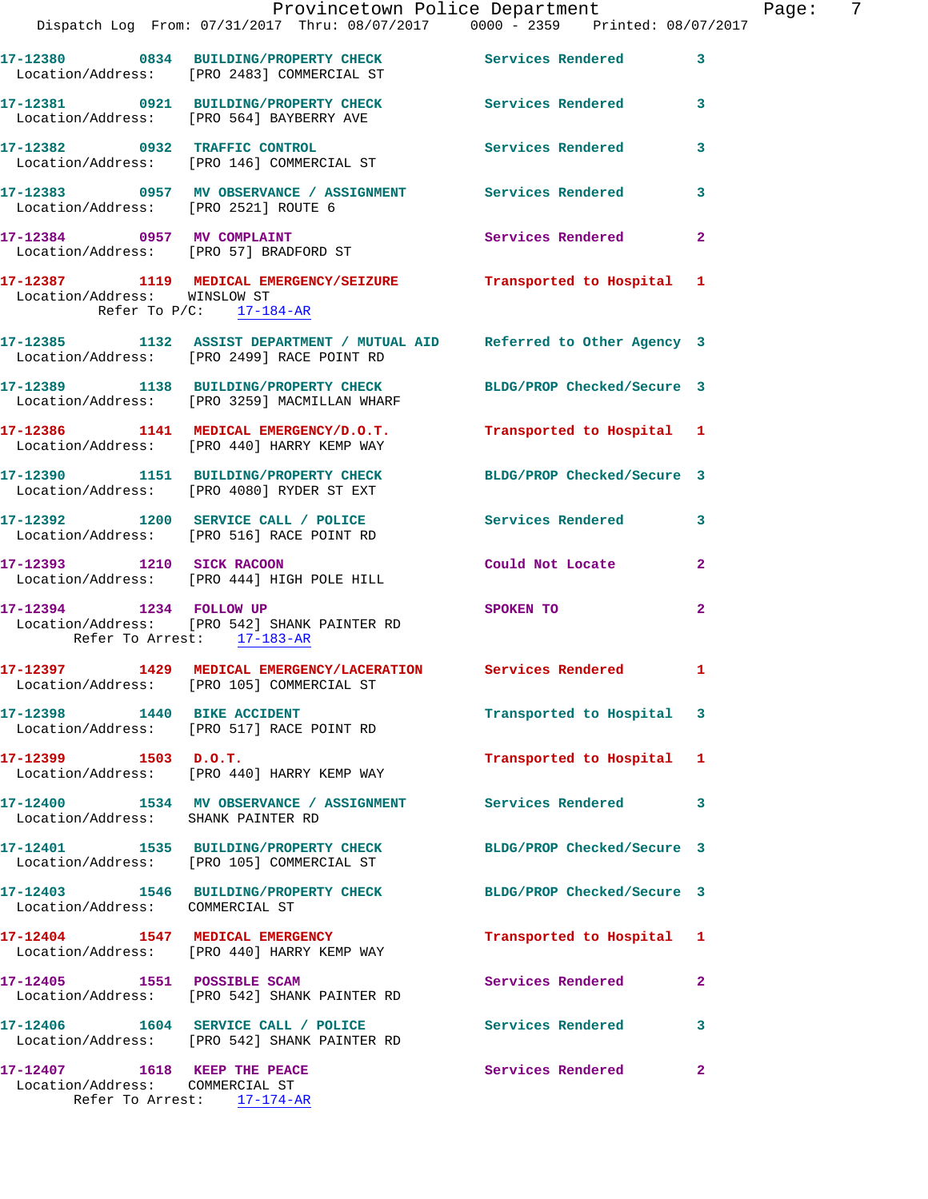|                                                                 | Dispatch Log From: 07/31/2017 Thru: 08/07/2017 0000 - 2359 Printed: 08/07/2017                                        | Provincetown Police Department | 7<br>Page:   |
|-----------------------------------------------------------------|-----------------------------------------------------------------------------------------------------------------------|--------------------------------|--------------|
|                                                                 | 17-12380 0834 BUILDING/PROPERTY CHECK Services Rendered 3                                                             |                                |              |
|                                                                 | Location/Address: [PRO 2483] COMMERCIAL ST                                                                            |                                |              |
|                                                                 | 17-12381 0921 BUILDING/PROPERTY CHECK Services Rendered 3<br>Location/Address: [PRO 564] BAYBERRY AVE                 |                                |              |
|                                                                 | 17-12382 0932 TRAFFIC CONTROL<br>Location/Address: [PRO 146] COMMERCIAL ST                                            | Services Rendered              | $\mathbf{3}$ |
| Location/Address: [PRO 2521] ROUTE 6                            | 17-12383 0957 MV OBSERVANCE / ASSIGNMENT Services Rendered 3                                                          |                                |              |
|                                                                 | 17-12384 0957 MV COMPLAINT<br>Location/Address: [PRO 57] BRADFORD ST                                                  | Services Rendered              | $\mathbf{2}$ |
| Location/Address: WINSLOW ST<br>Refer To $P/C$ : 17-184-AR      | 17-12387 1119 MEDICAL EMERGENCY/SEIZURE Transported to Hospital 1                                                     |                                |              |
|                                                                 | 17-12385 1132 ASSIST DEPARTMENT / MUTUAL AID Referred to Other Agency 3<br>Location/Address: [PRO 2499] RACE POINT RD |                                |              |
|                                                                 | 17-12389 1138 BUILDING/PROPERTY CHECK<br>Location/Address: [PRO 3259] MACMILLAN WHARF                                 | BLDG/PROP Checked/Secure 3     |              |
|                                                                 | 17-12386 1141 MEDICAL EMERGENCY/D.O.T.<br>Location/Address: [PRO 440] HARRY KEMP WAY                                  | Transported to Hospital 1      |              |
|                                                                 | 17-12390 1151 BUILDING/PROPERTY CHECK BLDG/PROP Checked/Secure 3<br>Location/Address: [PRO 4080] RYDER ST EXT         |                                |              |
|                                                                 | 17-12392 1200 SERVICE CALL / POLICE Services Rendered 3<br>Location/Address: [PRO 516] RACE POINT RD                  |                                |              |
|                                                                 | 17-12393 1210 SICK RACOON<br>Location/Address: [PRO 444] HIGH POLE HILL                                               | Could Not Locate               | $\mathbf{2}$ |
| 17-12394 1234 FOLLOW UP<br>Refer To Arrest: 17-183-AR           | Location/Address: [PRO 542] SHANK PAINTER RD                                                                          | SPOKEN TO                      | $\mathbf{2}$ |
|                                                                 | 17-12397 1429 MEDICAL EMERGENCY/LACERATION Services Rendered 1<br>Location/Address: [PRO 105] COMMERCIAL ST           |                                |              |
| 17-12398 1440 BIKE ACCIDENT                                     | Location/Address: [PRO 517] RACE POINT RD                                                                             | Transported to Hospital 3      |              |
| $17 - 12399$ $1503$ $D.0.T.$                                    | Location/Address: [PRO 440] HARRY KEMP WAY                                                                            | Transported to Hospital 1      |              |
| Location/Address: SHANK PAINTER RD                              | 17-12400 1534 MV OBSERVANCE / ASSIGNMENT Services Rendered 3                                                          |                                |              |
|                                                                 | 17-12401 1535 BUILDING/PROPERTY CHECK<br>Location/Address: [PRO 105] COMMERCIAL ST                                    | BLDG/PROP Checked/Secure 3     |              |
| Location/Address: COMMERCIAL ST                                 | 17-12403 1546 BUILDING/PROPERTY CHECK BLDG/PROP Checked/Secure 3                                                      |                                |              |
|                                                                 | 17-12404 1547 MEDICAL EMERGENCY<br>Location/Address: [PRO 440] HARRY KEMP WAY                                         | Transported to Hospital 1      |              |
| 17-12405 1551 POSSIBLE SCAM                                     | Location/Address: [PRO 542] SHANK PAINTER RD                                                                          | Services Rendered              | $\mathbf{2}$ |
|                                                                 | 17-12406  1604 SERVICE CALL / POLICE<br>Location/Address: [PRO 542] SHANK PAINTER RD                                  | Services Rendered              | $\mathbf{3}$ |
| 17-12407 1618 KEEP THE PEACE<br>Location/Address: COMMERCIAL ST | Refer To Arrest: 17-174-AR                                                                                            | Services Rendered              | $\mathbf{2}$ |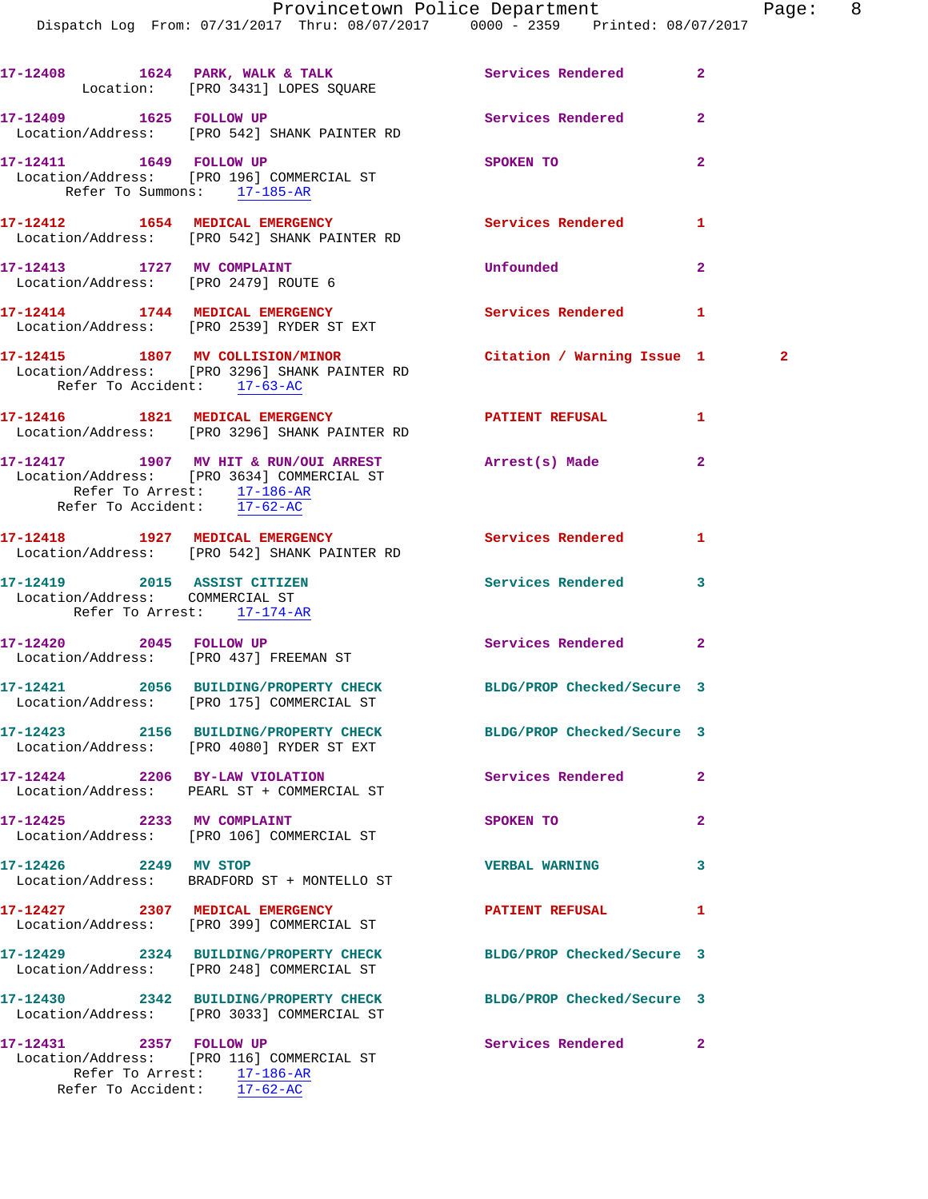|                                                                    | 17-12408 1624 PARK, WALK & TALK 1988 Services Rendered<br>Location: [PRO 3431] LOPES SQUARE                    |                            | $\overline{2}$ |
|--------------------------------------------------------------------|----------------------------------------------------------------------------------------------------------------|----------------------------|----------------|
|                                                                    | 17-12409    1625    FOLLOW UP<br>Location/Address: [PRO 542] SHANK PAINTER RD                                  | Services Rendered          | $\overline{a}$ |
| 17-12411 1649 FOLLOW UP<br>Refer To Summons: 17-185-AR             | Location/Address: [PRO 196] COMMERCIAL ST                                                                      | SPOKEN TO                  | $\overline{2}$ |
|                                                                    | 17-12412 1654 MEDICAL EMERGENCY<br>Location/Address: [PRO 542] SHANK PAINTER RD                                | Services Rendered          | 1              |
| 17-12413 1727 MV COMPLAINT<br>Location/Address: [PRO 2479] ROUTE 6 |                                                                                                                | Unfounded                  | $\mathbf{2}$   |
|                                                                    | 17-12414 1744 MEDICAL EMERGENCY<br>Location/Address: [PRO 2539] RYDER ST EXT                                   | Services Rendered          | 1              |
| Refer To Accident: 17-63-AC                                        | 17-12415 1807 MV COLLISION/MINOR Citation / Warning Issue 1 2<br>Location/Address: [PRO 3296] SHANK PAINTER RD |                            |                |
|                                                                    | 17-12416 1821 MEDICAL EMERGENCY <b>ATIENT REFUSAL</b><br>Location/Address: [PRO 3296] SHANK PAINTER RD         |                            | 1              |
| Refer To Arrest: 17-186-AR<br>Refer To Accident: 17-62-AC          | 17-12417 1907 MV HIT & RUN/OUI ARREST Arrest(s) Made<br>Location/Address: [PRO 3634] COMMERCIAL ST             |                            | $\mathbf{2}$   |
|                                                                    | 17-12418 1927 MEDICAL EMERGENCY                                                                                | <b>Services Rendered</b>   | 1              |
|                                                                    | Location/Address: [PRO 542] SHANK PAINTER RD                                                                   |                            |                |
| Location/Address: COMMERCIAL ST<br>Refer To Arrest: 17-174-AR      | 17-12419  2015 ASSIST CITIZEN                                                                                  | Services Rendered          | 3              |
|                                                                    | 17-12420 2045 FOLLOW UP<br>Location/Address: [PRO 437] FREEMAN ST                                              | Services Rendered          | $\mathbf{2}$   |
|                                                                    | 17-12421 2056 BUILDING/PROPERTY CHECK BLDG/PROP Checked/Secure 3<br>Location/Address: [PRO 175] COMMERCIAL ST  |                            |                |
|                                                                    | 17-12423 2156 BUILDING/PROPERTY CHECK BLDG/PROP Checked/Secure 3<br>Location/Address: [PRO 4080] RYDER ST EXT  |                            |                |
|                                                                    | 17-12424 2206 BY-LAW VIOLATION<br>Location/Address: PEARL ST + COMMERCIAL ST                                   | Services Rendered          | $\overline{a}$ |
|                                                                    | 17-12425 2233 MV COMPLAINT<br>Location/Address: [PRO 106] COMMERCIAL ST                                        | SPOKEN TO                  | $\mathbf{2}$   |
| 17-12426 2249 MV STOP                                              | Location/Address: BRADFORD ST + MONTELLO ST                                                                    | <b>VERBAL WARNING</b>      | 3              |
|                                                                    | 17-12427 2307 MEDICAL EMERGENCY<br>Location/Address: [PRO 399] COMMERCIAL ST                                   | <b>PATIENT REFUSAL</b>     | 1              |
|                                                                    | 17-12429 2324 BUILDING/PROPERTY CHECK BLDG/PROP Checked/Secure 3<br>Location/Address: [PRO 248] COMMERCIAL ST  |                            |                |
|                                                                    | 17-12430 2342 BUILDING/PROPERTY CHECK<br>Location/Address: [PRO 3033] COMMERCIAL ST                            | BLDG/PROP Checked/Secure 3 |                |
| 17-12431 2357 FOLLOW UP<br>Refer To Accident: 17-62-AC             | Location/Address: [PRO 116] COMMERCIAL ST<br>Refer To Arrest: 17-186-AR                                        | Services Rendered          | $\mathbf{2}$   |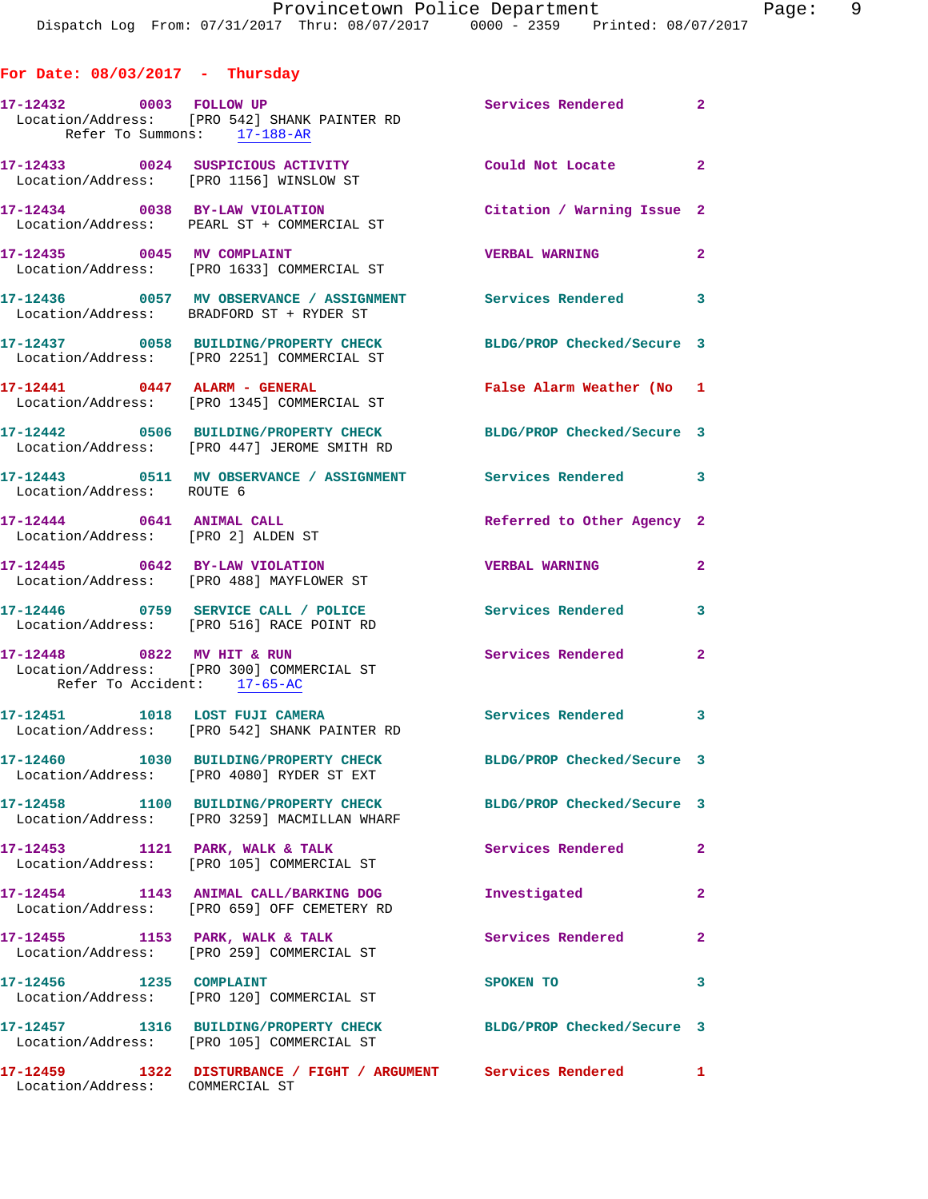| For Date: $08/03/2017$ - Thursday                               |                                                                                                                 |                            |                         |
|-----------------------------------------------------------------|-----------------------------------------------------------------------------------------------------------------|----------------------------|-------------------------|
| 17-12432 0003 FOLLOW UP<br>Refer To Summons: 17-188-AR          | Location/Address: [PRO 542] SHANK PAINTER RD                                                                    | Services Rendered 2        |                         |
|                                                                 | 17-12433 0024 SUSPICIOUS ACTIVITY<br>Location/Address: [PRO 1156] WINSLOW ST                                    | Could Not Locate 2         |                         |
|                                                                 | 17-12434 0038 BY-LAW VIOLATION<br>Location/Address: PEARL ST + COMMERCIAL ST                                    | Citation / Warning Issue 2 |                         |
| 17-12435 0045 MV COMPLAINT                                      | Location/Address: [PRO 1633] COMMERCIAL ST                                                                      | <b>VERBAL WARNING</b>      | $\overline{2}$          |
|                                                                 | 17-12436 0057 MV OBSERVANCE / ASSIGNMENT Services Rendered 3<br>Location/Address: BRADFORD ST + RYDER ST        |                            |                         |
|                                                                 | 17-12437 0058 BUILDING/PROPERTY CHECK<br>Location/Address: [PRO 2251] COMMERCIAL ST                             | BLDG/PROP Checked/Secure 3 |                         |
|                                                                 | 17-12441 0447 ALARM - GENERAL<br>Location/Address: [PRO 1345] COMMERCIAL ST                                     | False Alarm Weather (No 1  |                         |
|                                                                 | 17-12442 0506 BUILDING/PROPERTY CHECK BLDG/PROP Checked/Secure 3<br>Location/Address: [PRO 447] JEROME SMITH RD |                            |                         |
| Location/Address: ROUTE 6                                       | 17-12443 0511 MV OBSERVANCE / ASSIGNMENT Services Rendered 3                                                    |                            |                         |
| 17-12444 0641 ANIMAL CALL<br>Location/Address: [PRO 2] ALDEN ST |                                                                                                                 | Referred to Other Agency 2 |                         |
|                                                                 | 17-12445 0642 BY-LAW VIOLATION<br>Location/Address: [PRO 488] MAYFLOWER ST                                      | <b>VERBAL WARNING</b>      | $\mathbf{2}$            |
|                                                                 | 17-12446 0759 SERVICE CALL / POLICE<br>Location/Address: [PRO 516] RACE POINT RD                                | Services Rendered          | $\overline{\mathbf{3}}$ |
| Refer To Accident: 17-65-AC                                     | 17-12448 0822 MV HIT & RUN<br>Location/Address: [PRO 300] COMMERCIAL ST                                         | <b>Services Rendered</b> 2 |                         |
|                                                                 | 17-12451 1018 LOST FUJI CAMERA<br>Location/Address: [PRO 542] SHANK PAINTER RD                                  | Services Rendered 3        |                         |
|                                                                 | 17-12460 1030 BUILDING/PROPERTY CHECK<br>Location/Address: [PRO 4080] RYDER ST EXT                              | BLDG/PROP Checked/Secure 3 |                         |
|                                                                 | 17-12458 1100 BUILDING/PROPERTY CHECK<br>Location/Address: [PRO 3259] MACMILLAN WHARF                           | BLDG/PROP Checked/Secure 3 |                         |
|                                                                 | 17-12453 1121 PARK, WALK & TALK<br>Location/Address: [PRO 105] COMMERCIAL ST                                    | <b>Services Rendered</b>   | $\mathbf{2}$            |
|                                                                 | 17-12454 1143 ANIMAL CALL/BARKING DOG<br>Location/Address: [PRO 659] OFF CEMETERY RD                            | Investigated               | $\mathbf{2}$            |
|                                                                 | $17-12455$ 1153 PARK, WALK & TALK<br>Location/Address: [PRO 259] COMMERCIAL ST                                  | Services Rendered          | $\mathbf{2}$            |
| 17-12456 1235 COMPLAINT                                         | Location/Address: [PRO 120] COMMERCIAL ST                                                                       | SPOKEN TO                  | 3                       |
|                                                                 | 17-12457 1316 BUILDING/PROPERTY CHECK<br>Location/Address: [PRO 105] COMMERCIAL ST                              | BLDG/PROP Checked/Secure 3 |                         |
| Location/Address: COMMERCIAL ST                                 | 17-12459 1322 DISTURBANCE / FIGHT / ARGUMENT Services Rendered 1                                                |                            |                         |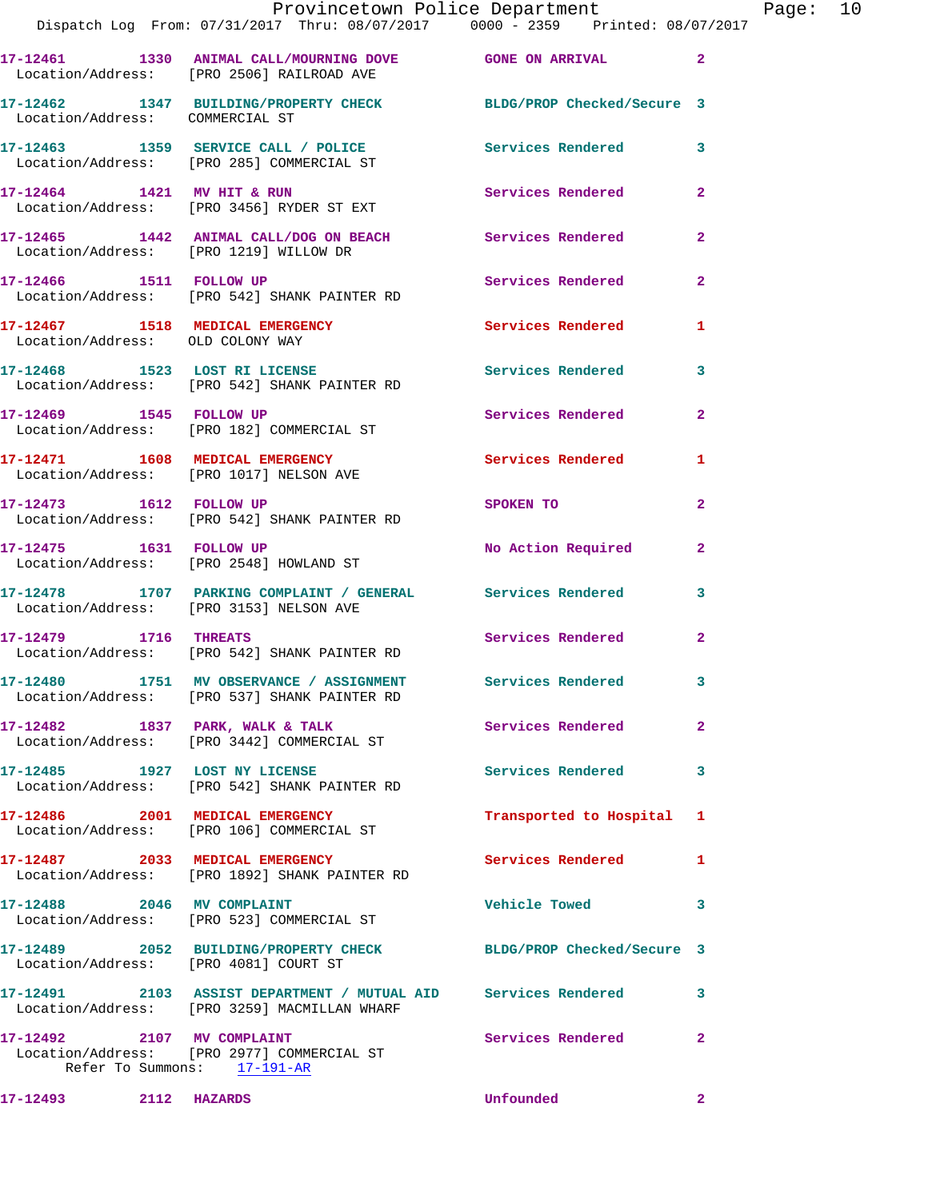|                                  | Dispatch Log From: 07/31/2017 Thru: 08/07/2017 0000 - 2359 Printed: 08/07/2017                                 | Provincetown Police Department The Rage: 10 |                |  |
|----------------------------------|----------------------------------------------------------------------------------------------------------------|---------------------------------------------|----------------|--|
|                                  | 17-12461 1330 ANIMAL CALL/MOURNING DOVE GONE ON ARRIVAL 2<br>Location/Address: [PRO 2506] RAILROAD AVE         |                                             |                |  |
| Location/Address: COMMERCIAL ST  | 17-12462 1347 BUILDING/PROPERTY CHECK BLDG/PROP Checked/Secure 3                                               |                                             |                |  |
|                                  |                                                                                                                |                                             |                |  |
|                                  | 17-12464 1421 MV HIT & RUN<br>Location/Address: [PRO 3456] RYDER ST EXT                                        | Services Rendered                           | $\mathbf{2}$   |  |
|                                  | 17-12465 1442 ANIMAL CALL/DOG ON BEACH<br>Location/Address: [PRO 1219] WILLOW DR                               |                                             | $\mathbf{2}$   |  |
|                                  | 17-12466 1511 FOLLOW UP Services Rendered<br>Location/Address: [PRO 542] SHANK PAINTER RD                      |                                             | $\overline{2}$ |  |
| Location/Address: OLD COLONY WAY | 17-12467 1518 MEDICAL EMERGENCY 1 Services Rendered 1                                                          |                                             |                |  |
|                                  | 17-12468 1523 LOST RI LICENSE 17-12468 Rendered<br>Location/Address: [PRO 542] SHANK PAINTER RD                |                                             | 3              |  |
|                                  | 17-12469 1545 FOLLOW UP<br>Location/Address: [PRO 182] COMMERCIAL ST                                           | Services Rendered 2                         |                |  |
|                                  | 17-12471 1608 MEDICAL EMERGENCY Services Rendered<br>Location/Address: [PRO 1017] NELSON AVE                   |                                             | 1              |  |
|                                  | 17-12473 1612 FOLLOW UP<br>Location/Address: [PRO 542] SHANK PAINTER RD                                        | SPOKEN TO                                   | $\mathbf{2}$   |  |
|                                  | 17-12475 1631 FOLLOW UP<br>Location/Address: [PRO 2548] HOWLAND ST                                             | No Action Required                          | $\mathbf{2}$   |  |
|                                  | 17-12478 1707 PARKING COMPLAINT / GENERAL Services Rendered 3<br>Location/Address: [PRO 3153] NELSON AVE       |                                             |                |  |
|                                  | 17-12479 1716 THREATS<br>Location/Address: [PRO 542] SHANK PAINTER RD                                          | Services Rendered                           | $\mathbf{2}$   |  |
|                                  | 17-12480 1751 MV OBSERVANCE / ASSIGNMENT Services Rendered<br>Location/Address: [PRO 537] SHANK PAINTER RD     |                                             |                |  |
|                                  | 17-12482 1837 PARK, WALK & TALK Services Rendered<br>Location/Address: [PRO 3442] COMMERCIAL ST                |                                             | $\overline{2}$ |  |
|                                  | 17-12485 1927 LOST NY LICENSE<br>Location/Address: [PRO 542] SHANK PAINTER RD                                  | Services Rendered                           | 3              |  |
|                                  | 17-12486 2001 MEDICAL EMERGENCY<br>Location/Address: [PRO 106] COMMERCIAL ST                                   | Transported to Hospital 1                   |                |  |
|                                  | 17-12487 2033 MEDICAL EMERGENCY<br>Location/Address: [PRO 1892] SHANK PAINTER RD                               | <b>Services Rendered</b> 1                  |                |  |
|                                  | 17-12488 2046 MV COMPLAINT<br>Location/Address: [PRO 523] COMMERCIAL ST                                        | <b>Vehicle Towed</b>                        | 3              |  |
|                                  | 17-12489 2052 BUILDING/PROPERTY CHECK BLDG/PROP Checked/Secure 3<br>Location/Address: [PRO 4081] COURT ST      |                                             |                |  |
|                                  | 17-12491 2103 ASSIST DEPARTMENT / MUTUAL AID Services Rendered<br>Location/Address: [PRO 3259] MACMILLAN WHARF |                                             | 3              |  |
| 17-12492 2107 MV COMPLAINT       | Location/Address: [PRO 2977] COMMERCIAL ST<br>Refer To Summons: $\frac{17-191-AR}{191-AR}$                     | Services Rendered                           | $\mathbf{2}$   |  |
| 17-12493 2112 HAZARDS            |                                                                                                                | Unfounded                                   | $\mathbf{2}$   |  |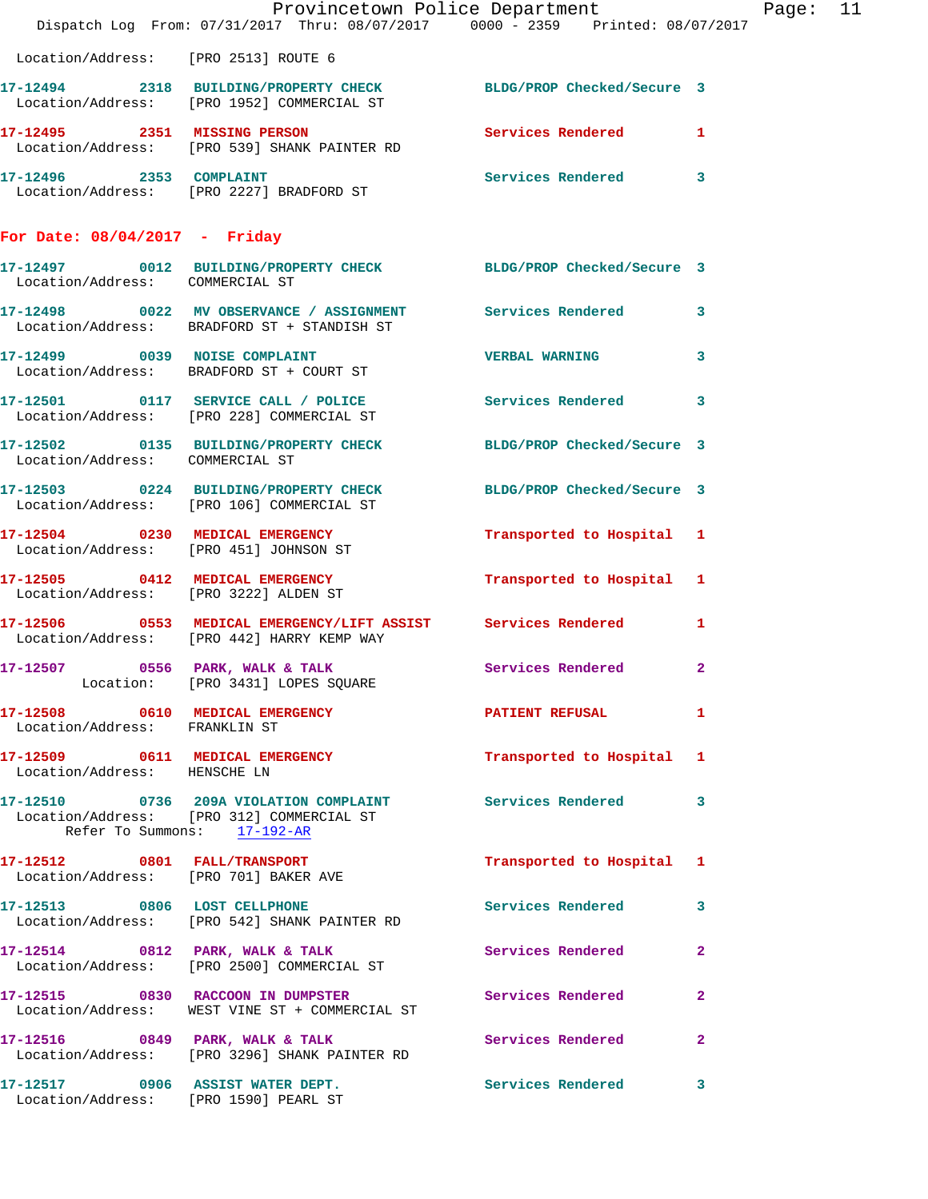|                                      |                                                                                                                                        | Provincetown Police Department The Rage: 11<br>Dispatch Log From: 07/31/2017 Thru: 08/07/2017 0000 - 2359 Printed: 08/07/2017 |  |
|--------------------------------------|----------------------------------------------------------------------------------------------------------------------------------------|-------------------------------------------------------------------------------------------------------------------------------|--|
| Location/Address: [PRO 2513] ROUTE 6 |                                                                                                                                        |                                                                                                                               |  |
|                                      | 17-12494 2318 BUILDING/PROPERTY CHECK BLDG/PROP Checked/Secure 3<br>Location/Address: [PRO 1952] COMMERCIAL ST                         |                                                                                                                               |  |
|                                      | 17-12495 2351 MISSING PERSON Services Rendered 1<br>Location/Address: [PRO 539] SHANK PAINTER RD                                       |                                                                                                                               |  |
|                                      | 17-12496 2353 COMPLAINT<br>Location/Address: [PRO 2227] BRADFORD ST                                                                    | Services Rendered 3                                                                                                           |  |
| For Date: $08/04/2017$ - Friday      |                                                                                                                                        |                                                                                                                               |  |
| Location/Address: COMMERCIAL ST      | 17-12497 0012 BUILDING/PROPERTY CHECK BLDG/PROP Checked/Secure 3                                                                       |                                                                                                                               |  |
|                                      | 17-12498 0022 MV OBSERVANCE / ASSIGNMENT Services Rendered 3<br>Location/Address: BRADFORD ST + STANDISH ST                            |                                                                                                                               |  |
|                                      | 17-12499 0039 NOISE COMPLAINT<br>Location/Address: BRADFORD ST + COURT ST                                                              | <b>VERBAL WARNING</b><br>$\mathbf{3}$                                                                                         |  |
|                                      | 17-12501 0117 SERVICE CALL / POLICE Services Rendered 3<br>Location/Address: [PRO 228] COMMERCIAL ST                                   |                                                                                                                               |  |
| Location/Address: COMMERCIAL ST      | 17-12502 0135 BUILDING/PROPERTY CHECK BLDG/PROP Checked/Secure 3                                                                       |                                                                                                                               |  |
|                                      | 17-12503 0224 BUILDING/PROPERTY CHECK BLDG/PROP Checked/Secure 3<br>Location/Address: [PRO 106] COMMERCIAL ST                          |                                                                                                                               |  |
|                                      | 17-12504 0230 MEDICAL EMERGENCY<br>Location/Address: [PRO 451] JOHNSON ST                                                              | Transported to Hospital 1                                                                                                     |  |
|                                      | 17-12505 0412 MEDICAL EMERGENCY Transported to Hospital 1<br>Location/Address: [PRO 3222] ALDEN ST                                     |                                                                                                                               |  |
|                                      | 17-12506 0553 MEDICAL EMERGENCY/LIFT ASSIST Services Rendered<br>Location/Address: [PRO 442] HARRY KEMP WAY                            | $\mathbf{1}$                                                                                                                  |  |
|                                      | 17-12507 0556 PARK, WALK & TALK Services Rendered 2<br>Location: [PRO 3431] LOPES SQUARE                                               |                                                                                                                               |  |
| Location/Address: FRANKLIN ST        | 17-12508 0610 MEDICAL EMERGENCY PATIENT REFUSAL                                                                                        | $\mathbf{1}$                                                                                                                  |  |
| Location/Address: HENSCHE LN         | 17-12509 0611 MEDICAL EMERGENCY                                                                                                        | Transported to Hospital 1                                                                                                     |  |
|                                      | 17-12510 0736 209A VIOLATION COMPLAINT Services Rendered 3<br>Location/Address: [PRO 312] COMMERCIAL ST<br>Refer To Summons: 17-192-AR |                                                                                                                               |  |
|                                      | 17-12512 0801 FALL/TRANSPORT<br>Location/Address: [PRO 701] BAKER AVE                                                                  | Transported to Hospital 1                                                                                                     |  |
|                                      | 17-12513 0806 LOST CELLPHONE<br>Location/Address: [PRO 542] SHANK PAINTER RD                                                           | Services Rendered 3                                                                                                           |  |
|                                      | 17-12514 0812 PARK, WALK & TALK Services Rendered<br>Location/Address: [PRO 2500] COMMERCIAL ST                                        | $\mathbf{2}$                                                                                                                  |  |
|                                      | 17-12515 0830 RACCOON IN DUMPSTER<br>Location/Address: WEST VINE ST + COMMERCIAL ST                                                    | Services Rendered<br>$\overline{2}$                                                                                           |  |
|                                      | 17-12516 0849 PARK, WALK & TALK Services Rendered<br>Location/Address: [PRO 3296] SHANK PAINTER RD                                     | $\mathbf{2}$                                                                                                                  |  |
|                                      | 17-12517 0906 ASSIST WATER DEPT. Services Rendered 3<br>Location/Address: [PRO 1590] PEARL ST                                          |                                                                                                                               |  |
|                                      |                                                                                                                                        |                                                                                                                               |  |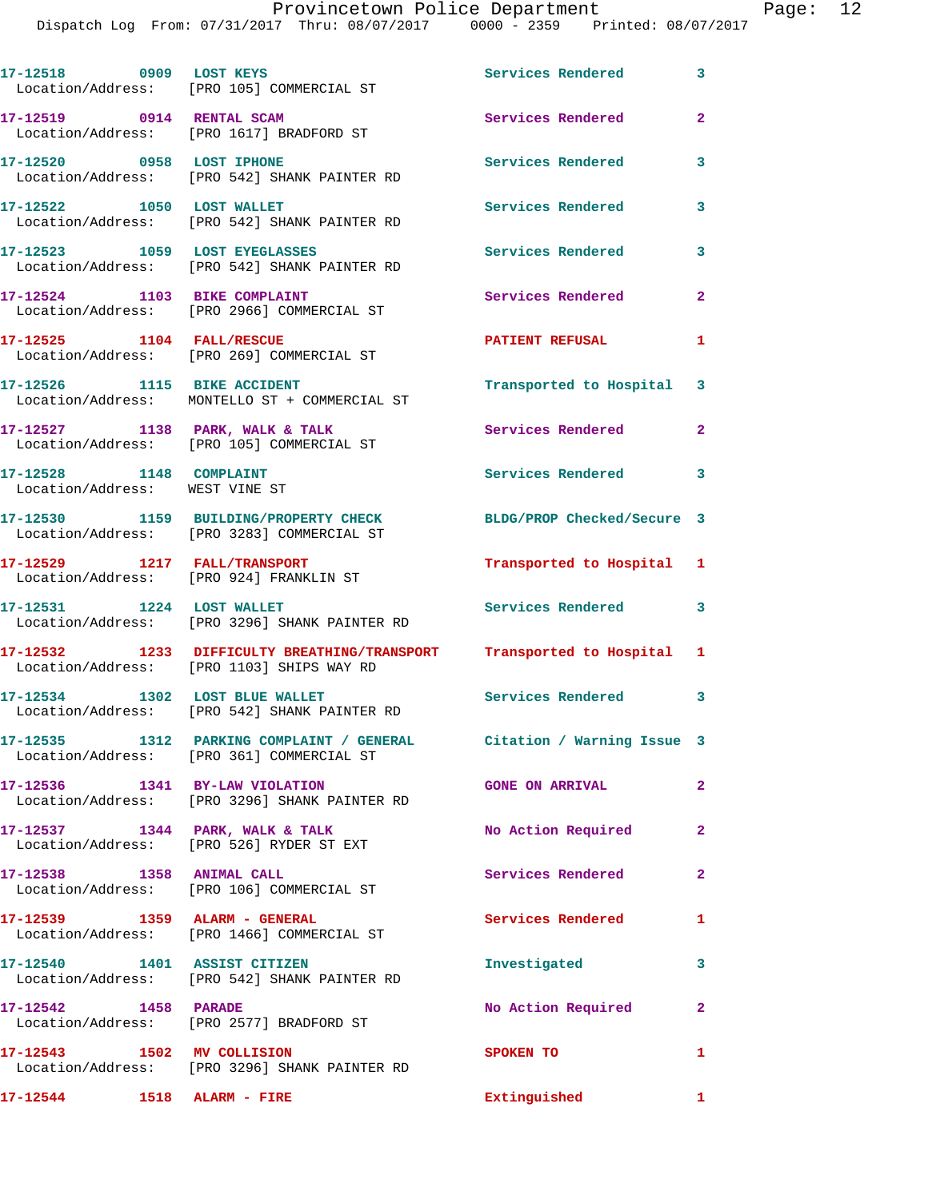Dispatch Log F:

|  |                                   | Provincetown Police Department  |  | Page: 12 |  |
|--|-----------------------------------|---------------------------------|--|----------|--|
|  | rom: 07/31/2017  Thru: 08/07/2017 | 0000 - 2359 Printed: 08/07/2017 |  |          |  |
|  |                                   |                                 |  |          |  |
|  |                                   |                                 |  |          |  |

17-12518 0909 LOST KEYS **17-12518** Services Rendered 3 Location/Address: [PRO 105] COMMERCIAL ST **17-12519 0914 RENTAL SCAM Services Rendered 2**  Location/Address: [PRO 1617] BRADFORD ST **17-12520 0958 LOST IPHONE Services Rendered 3**  Location/Address: [PRO 542] SHANK PAINTER RD **17-12522 1050 LOST WALLET Services Rendered 3**  Location/Address: [PRO 542] SHANK PAINTER RD **17-12523 1059 LOST EYEGLASSES Services Rendered 3**  Location/Address: [PRO 542] SHANK PAINTER RD 17-12524 1103 BIKE COMPLAINT Services Rendered 2 Location/Address: [PRO 2966] COMMERCIAL ST **17-12525 1104 FALL/RESCUE PATIENT REFUSAL 1**  Location/Address: [PRO 269] COMMERCIAL ST **17-12526 1115 BIKE ACCIDENT Transported to Hospital 3**  Location/Address: MONTELLO ST + COMMERCIAL ST 17-12527 1138 PARK, WALK & TALK **Services Rendered** 2 Location/Address: [PRO 105] COMMERCIAL ST 17-12528 1148 COMPLAINT **Services Rendered** 3 Location/Address: WEST VINE ST **17-12530 1159 BUILDING/PROPERTY CHECK BLDG/PROP Checked/Secure 3**  Location/Address: [PRO 3283] COMMERCIAL ST **17-12529 1217 FALL/TRANSPORT Transported to Hospital 1**  Location/Address: [PRO 924] FRANKLIN ST **17-12531 1224 LOST WALLET Services Rendered 3**  Location/Address: [PRO 3296] SHANK PAINTER RD **17-12532 1233 DIFFICULTY BREATHING/TRANSPORT Transported to Hospital 1**  Location/Address: [PRO 1103] SHIPS WAY RD 17-12534 1302 LOST BLUE WALLET **17-12534** Services Rendered 3 Location/Address: [PRO 542] SHANK PAINTER RD **17-12535 1312 PARKING COMPLAINT / GENERAL Citation / Warning Issue 3**  Location/Address: [PRO 361] COMMERCIAL ST **17-12536 1341 BY-LAW VIOLATION GONE ON ARRIVAL 2**  Location/Address: [PRO 3296] SHANK PAINTER RD **17-12537 1344 PARK, WALK & TALK No Action Required 2**  Location/Address: [PRO 526] RYDER ST EXT **17-12538 1358 ANIMAL CALL Services Rendered 2**  Location/Address: [PRO 106] COMMERCIAL ST 17-12539 1359 ALARM - GENERAL **Services Rendered** 1 Location/Address: [PRO 1466] COMMERCIAL ST **17-12540 1401 ASSIST CITIZEN Investigated 3**  Location/Address: [PRO 542] SHANK PAINTER RD 17-12542 1458 PARADE **No Action Required** 2 Location/Address: [PRO 2577] BRADFORD ST **17-12543 1502 MV COLLISION SPOKEN TO 1**  Location/Address: [PRO 3296] SHANK PAINTER RD **17-12544 1518 ALARM - FIRE Extinguished 1**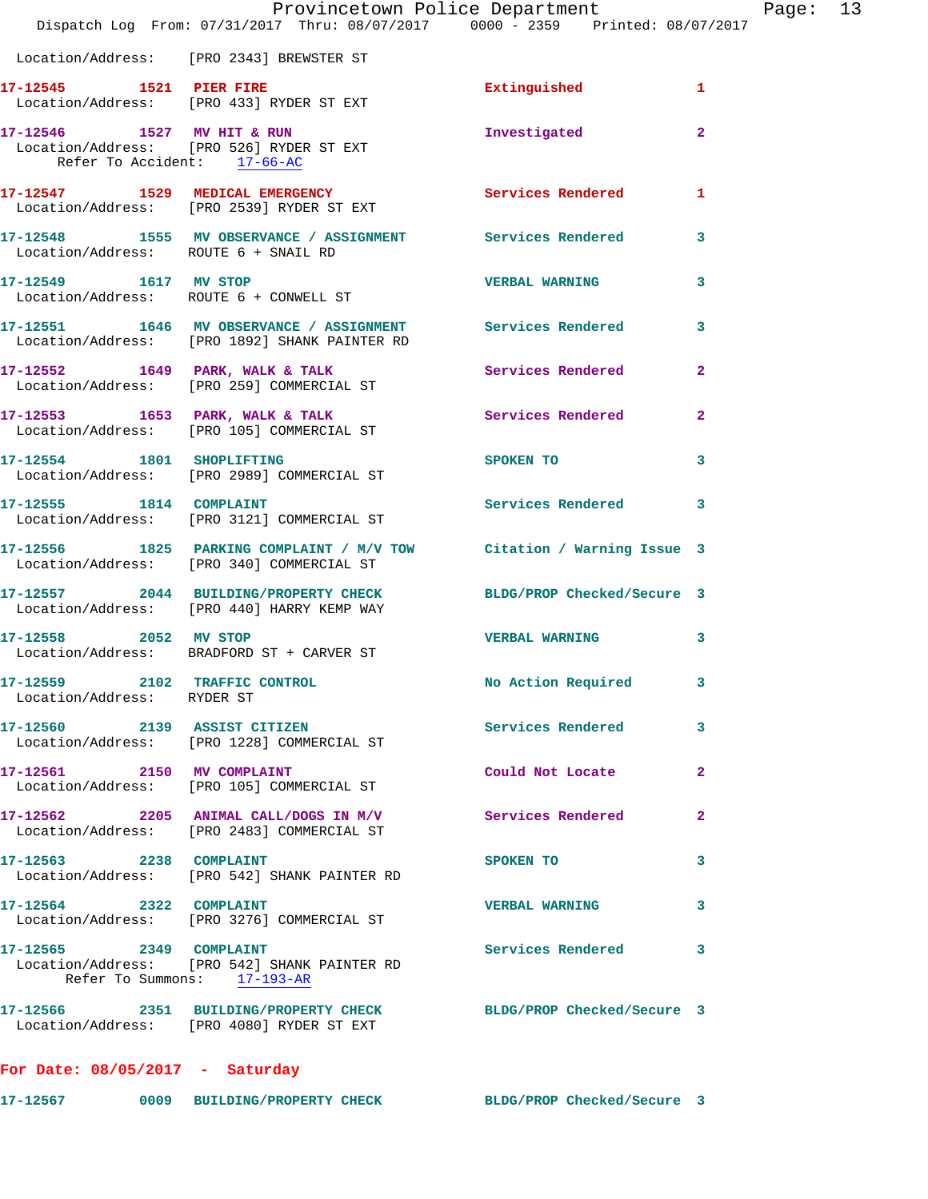|                                                             | Provincetown Police Department                                                                                    |                            |                |
|-------------------------------------------------------------|-------------------------------------------------------------------------------------------------------------------|----------------------------|----------------|
|                                                             | Dispatch Log From: 07/31/2017 Thru: 08/07/2017 0000 - 2359 Printed: 08/07/2017                                    |                            |                |
|                                                             | Location/Address: [PRO 2343] BREWSTER ST                                                                          |                            |                |
|                                                             | 17-12545    1521    PIER FIRE<br>Location/Address: [PRO 433] RYDER ST EXT                                         | Extinguished               | $\mathbf{1}$   |
| 17-12546 1527 MV HIT & RUN<br>Refer To Accident: 17-66-AC   | Location/Address: [PRO 526] RYDER ST EXT                                                                          | Investigated               | $\overline{2}$ |
|                                                             | 17-12547 1529 MEDICAL EMERGENCY<br>Location/Address: [PRO 2539] RYDER ST EXT                                      | Services Rendered          | $\mathbf{1}$   |
| Location/Address: ROUTE 6 + SNAIL RD                        | 17-12548 1555 MV OBSERVANCE / ASSIGNMENT Services Rendered                                                        |                            | 3              |
|                                                             | 17-12549 1617 MV STOP<br>Location/Address: ROUTE 6 + CONWELL ST                                                   | <b>VERBAL WARNING</b>      | 3              |
|                                                             | 17-12551 1646 MV OBSERVANCE / ASSIGNMENT Services Rendered<br>Location/Address: [PRO 1892] SHANK PAINTER RD       |                            | 3              |
|                                                             | 17-12552 1649 PARK, WALK & TALK<br>Location/Address: [PRO 259] COMMERCIAL ST                                      | Services Rendered          | $\overline{2}$ |
|                                                             | 17-12553 1653 PARK, WALK & TALK 1988 Services Rendered<br>Location/Address: [PRO 105] COMMERCIAL ST               |                            | $\mathbf{2}$   |
| 17-12554 1801 SHOPLIFTING                                   | Location/Address: [PRO 2989] COMMERCIAL ST                                                                        | SPOKEN TO                  | 3              |
| 17-12555 1814 COMPLAINT                                     | Location/Address: [PRO 3121] COMMERCIAL ST                                                                        | <b>Services Rendered</b>   | 3              |
|                                                             | 17-12556 1825 PARKING COMPLAINT / M/V TOW Citation / Warning Issue 3<br>Location/Address: [PRO 340] COMMERCIAL ST |                            |                |
|                                                             | 17-12557 2044 BUILDING/PROPERTY CHECK<br>Location/Address: [PRO 440] HARRY KEMP WAY                               | BLDG/PROP Checked/Secure 3 |                |
| 17-12558 2052 MV STOP                                       | Location/Address: BRADFORD ST + CARVER ST                                                                         | <b>VERBAL WARNING</b>      | 3              |
| 17-12559 2102 TRAFFIC CONTROL<br>Location/Address: RYDER ST |                                                                                                                   | No Action Required         | 3              |
|                                                             | 17-12560 2139 ASSIST CITIZEN<br>Location/Address: [PRO 1228] COMMERCIAL ST                                        | Services Rendered          | 3              |
| 17-12561 2150 MV COMPLAINT                                  | Location/Address: [PRO 105] COMMERCIAL ST                                                                         | Could Not Locate           | $\mathbf{2}$   |
|                                                             | $17-12562$ 2205 ANIMAL CALL/DOGS IN M/V<br>Location/Address: [PRO 2483] COMMERCIAL ST                             | Services Rendered          | $\overline{a}$ |
| 17-12563 2238 COMPLAINT                                     | Location/Address: [PRO 542] SHANK PAINTER RD                                                                      | SPOKEN TO                  | 3              |
| 17-12564 2322 COMPLAINT                                     | Location/Address: [PRO 3276] COMMERCIAL ST                                                                        | <b>VERBAL WARNING</b>      | 3              |
| 17-12565 2349 COMPLAINT                                     | Location/Address: [PRO 542] SHANK PAINTER RD<br>Refer To Summons: 17-193-AR                                       | <b>Services Rendered</b>   | 3              |
|                                                             | 17-12566 2351 BUILDING/PROPERTY CHECK BLDG/PROP Checked/Secure 3<br>Location/Address: [PRO 4080] RYDER ST EXT     |                            |                |
| For Date: $08/05/2017$ - Saturday                           |                                                                                                                   |                            |                |

**17-12567 0009 BUILDING/PROPERTY CHECK BLDG/PROP Checked/Secure 3** 

Page: 13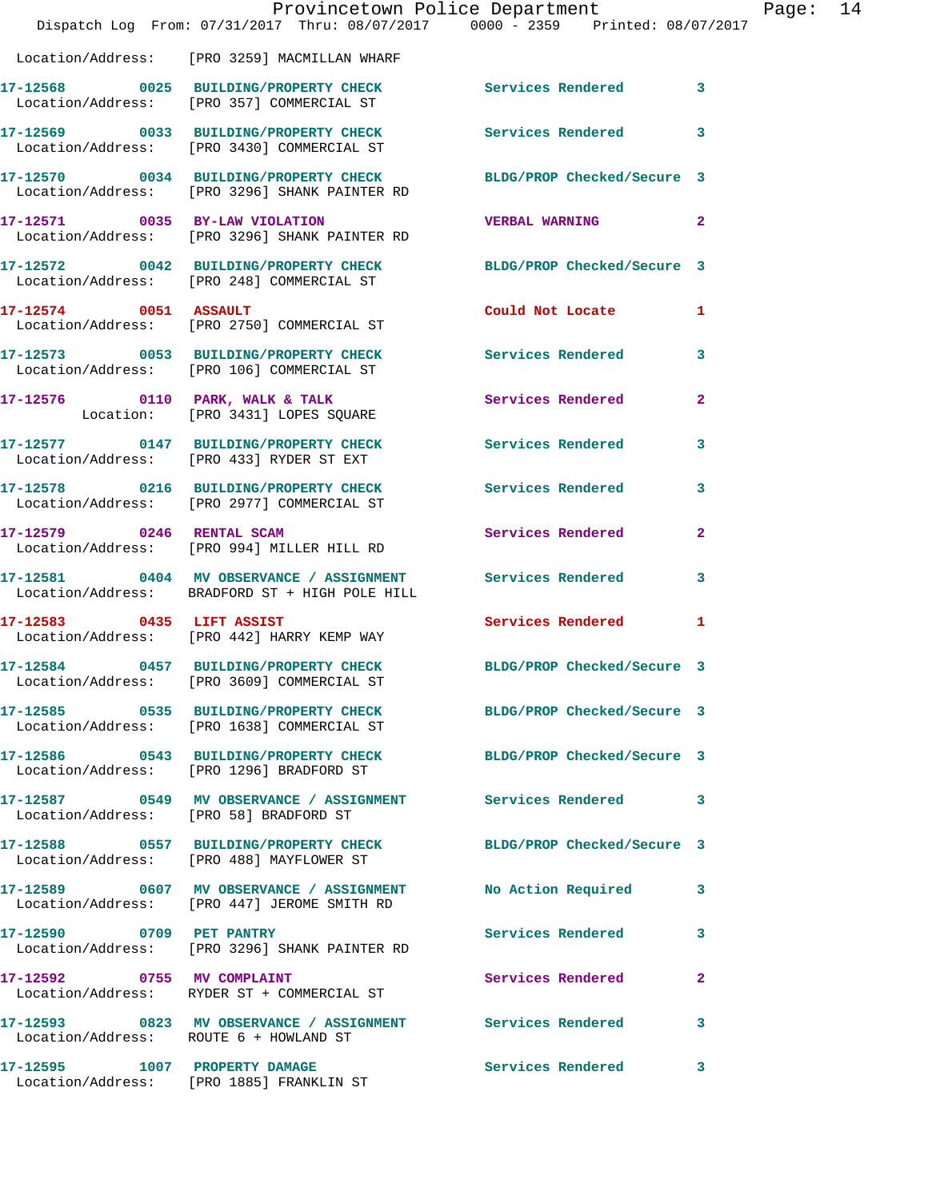|                                        | Provincetown Police Department<br>Dispatch Log From: 07/31/2017 Thru: 08/07/2017 0000 - 2359 Printed: 08/07/2017 |                            |                |
|----------------------------------------|------------------------------------------------------------------------------------------------------------------|----------------------------|----------------|
|                                        | Location/Address: [PRO 3259] MACMILLAN WHARF                                                                     |                            |                |
|                                        | 17-12568 0025 BUILDING/PROPERTY CHECK Services Rendered<br>Location/Address: [PRO 357] COMMERCIAL ST             |                            | 3              |
|                                        | 17-12569 0033 BUILDING/PROPERTY CHECK<br>Location/Address: [PRO 3430] COMMERCIAL ST                              | Services Rendered          | 3              |
|                                        | 17-12570 0034 BUILDING/PROPERTY CHECK<br>Location/Address: [PRO 3296] SHANK PAINTER RD                           | BLDG/PROP Checked/Secure 3 |                |
| 17-12571 0035 BY-LAW VIOLATION         | Location/Address: [PRO 3296] SHANK PAINTER RD                                                                    | <b>VERBAL WARNING</b>      | $\overline{a}$ |
|                                        | 17-12572 0042 BUILDING/PROPERTY CHECK<br>Location/Address: [PRO 248] COMMERCIAL ST                               | BLDG/PROP Checked/Secure 3 |                |
| 17-12574 0051 ASSAULT                  | Location/Address: [PRO 2750] COMMERCIAL ST                                                                       | Could Not Locate           | 1              |
|                                        | 17-12573 0053 BUILDING/PROPERTY CHECK<br>Location/Address: [PRO 106] COMMERCIAL ST                               | <b>Services Rendered</b>   | 3              |
|                                        | 17-12576 0110 PARK, WALK & TALK<br>Location: [PRO 3431] LOPES SQUARE                                             | Services Rendered          | $\mathbf{2}$   |
|                                        | 17-12577 0147 BUILDING/PROPERTY CHECK<br>Location/Address: [PRO 433] RYDER ST EXT                                | <b>Services Rendered</b>   | 3              |
|                                        | 17-12578 0216 BUILDING/PROPERTY CHECK<br>Location/Address: [PRO 2977] COMMERCIAL ST                              | <b>Services Rendered</b>   | 3              |
| 17-12579 0246 RENTAL SCAM              | Location/Address: [PRO 994] MILLER HILL RD                                                                       | Services Rendered          | $\overline{a}$ |
|                                        | 17-12581 0404 MV OBSERVANCE / ASSIGNMENT Services Rendered<br>Location/Address: BRADFORD ST + HIGH POLE HILL     |                            | 3              |
| 17-12583 0435 LIFT ASSIST              | Location/Address: [PRO 442] HARRY KEMP WAY                                                                       | <b>Services Rendered</b>   | 1              |
|                                        | 17-12584 0457 BUILDING/PROPERTY CHECK<br>Location/Address: [PRO 3609] COMMERCIAL ST                              | BLDG/PROP Checked/Secure 3 |                |
|                                        | 17-12585 0535 BUILDING/PROPERTY CHECK<br>Location/Address: [PRO 1638] COMMERCIAL ST                              | BLDG/PROP Checked/Secure 3 |                |
|                                        | 17-12586 0543 BUILDING/PROPERTY CHECK BLDG/PROP Checked/Secure 3<br>Location/Address: [PRO 1296] BRADFORD ST     |                            |                |
|                                        |                                                                                                                  |                            | 3              |
|                                        | 17-12588 0557 BUILDING/PROPERTY CHECK BLDG/PROP Checked/Secure 3<br>Location/Address: [PRO 488] MAYFLOWER ST     |                            |                |
|                                        | 17-12589 6607 MV OBSERVANCE / ASSIGNMENT No Action Required<br>Location/Address: [PRO 447] JEROME SMITH RD       |                            | 3              |
| 17-12590 0709 PET PANTRY               | Location/Address: [PRO 3296] SHANK PAINTER RD                                                                    | Services Rendered          | 3              |
| 17-12592 0755 MV COMPLAINT             | Location/Address: RYDER ST + COMMERCIAL ST                                                                       | Services Rendered          | 2              |
| Location/Address: ROUTE 6 + HOWLAND ST | 17-12593 0823 MV OBSERVANCE / ASSIGNMENT Services Rendered                                                       |                            | 3              |
|                                        | 17-12595 1007 PROPERTY DAMAGE<br>Location/Address: [PRO 1885] FRANKLIN ST                                        | <b>Services Rendered</b>   | 3              |

Page: 14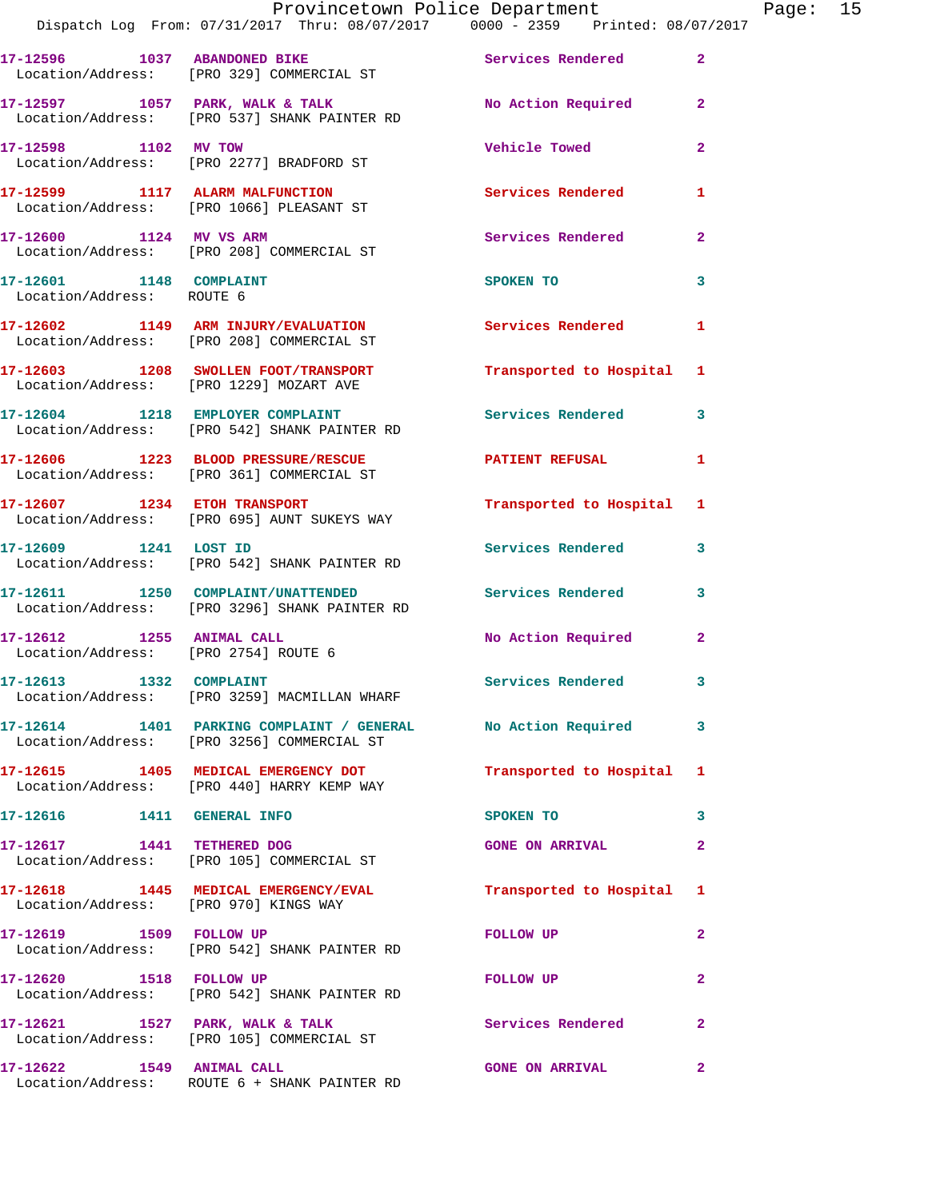|                                                      | Dispatch Log From: 07/31/2017 Thru: 08/07/2017 0000 - 2359 Printed: 08/07/2017                             | Provincetown Police Department The Rage: 15 |              |  |
|------------------------------------------------------|------------------------------------------------------------------------------------------------------------|---------------------------------------------|--------------|--|
|                                                      | 17-12596 1037 ABANDONED BIKE Services Rendered<br>Location/Address: [PRO 329] COMMERCIAL ST                |                                             | $\mathbf{2}$ |  |
|                                                      | 17-12597 1057 PARK, WALK & TALK 1999 No Action Required 2<br>Location/Address: [PRO 537] SHANK PAINTER RD  |                                             |              |  |
|                                                      | 17-12598 1102 MV TOW<br>Location/Address: [PRO 2277] BRADFORD ST                                           | <b>Vehicle Towed</b>                        | $\mathbf{2}$ |  |
|                                                      | 17-12599 1117 ALARM MALFUNCTION<br>Location/Address: [PRO 1066] PLEASANT ST                                | Services Rendered                           | 1            |  |
|                                                      | 17-12600 1124 MV VS ARM<br>Location/Address: [PRO 208] COMMERCIAL ST                                       | Services Rendered                           | $\mathbf{2}$ |  |
| 17-12601 1148 COMPLAINT<br>Location/Address: ROUTE 6 |                                                                                                            | SPOKEN TO                                   | 3            |  |
|                                                      | 17-12602 1149 ARM INJURY/EVALUATION Services Rendered 1<br>Location/Address: [PRO 208] COMMERCIAL ST       |                                             |              |  |
|                                                      | 17-12603 1208 SWOLLEN FOOT/TRANSPORT Transported to Hospital 1<br>Location/Address: [PRO 1229] MOZART AVE  |                                             |              |  |
|                                                      | 17-12604 1218 EMPLOYER COMPLAINT<br>Location/Address: [PRO 542] SHANK PAINTER RD                           | Services Rendered 3                         |              |  |
|                                                      | 17-12606 1223 BLOOD PRESSURE/RESCUE NATIENT REFUSAL<br>Location/Address: [PRO 361] COMMERCIAL ST           |                                             | 1            |  |
|                                                      | 17-12607 1234 ETOH TRANSPORT<br>Location/Address: [PRO 695] AUNT SUKEYS WAY                                | Transported to Hospital 1                   |              |  |
|                                                      | 17-12609 1241 LOST ID<br>Location/Address: [PRO 542] SHANK PAINTER RD                                      | Services Rendered                           | 3            |  |
|                                                      | 17-12611 1250 COMPLAINT/UNATTENDED Services Rendered 3<br>Location/Address: [PRO 3296] SHANK PAINTER RD    |                                             |              |  |
|                                                      | 17-12612 1255 ANIMAL CALL<br>Location/Address: [PRO 2754] ROUTE 6                                          | No Action Required 2                        |              |  |
|                                                      | 17-12613 1332 COMPLAINT<br>Location/Address: [PRO 3259] MACMILLAN WHARF                                    | <b>Services Rendered</b>                    |              |  |
|                                                      | 17-12614 1401 PARKING COMPLAINT / GENERAL No Action Required<br>Location/Address: [PRO 3256] COMMERCIAL ST |                                             | 3            |  |
|                                                      | 17-12615 1405 MEDICAL EMERGENCY DOT<br>Location/Address: [PRO 440] HARRY KEMP WAY                          | Transported to Hospital 1                   |              |  |
|                                                      |                                                                                                            | SPOKEN TO                                   | 3            |  |
|                                                      | 17-12617 1441 TETHERED DOG<br>Location/Address: [PRO 105] COMMERCIAL ST                                    | <b>GONE ON ARRIVAL</b>                      | 2            |  |
| Location/Address: [PRO 970] KINGS WAY                | 17-12618 1445 MEDICAL EMERGENCY/EVAL Transported to Hospital 1                                             |                                             |              |  |
|                                                      | 17-12619    1509    FOLLOW UP<br>Location/Address: [PRO 542] SHANK PAINTER RD                              | FOLLOW UP                                   | $\mathbf{2}$ |  |
|                                                      | 17-12620 1518 FOLLOW UP<br>Location/Address: [PRO 542] SHANK PAINTER RD                                    | FOLLOW UP                                   | $\mathbf{2}$ |  |
|                                                      | 17-12621 1527 PARK, WALK & TALK<br>Location/Address: [PRO 105] COMMERCIAL ST                               | Services Rendered                           | $\mathbf{2}$ |  |
|                                                      | 17-12622 1549 ANIMAL CALL<br>Location/Address: ROUTE 6 + SHANK PAINTER RD                                  | <b>GONE ON ARRIVAL</b>                      | $\mathbf{2}$ |  |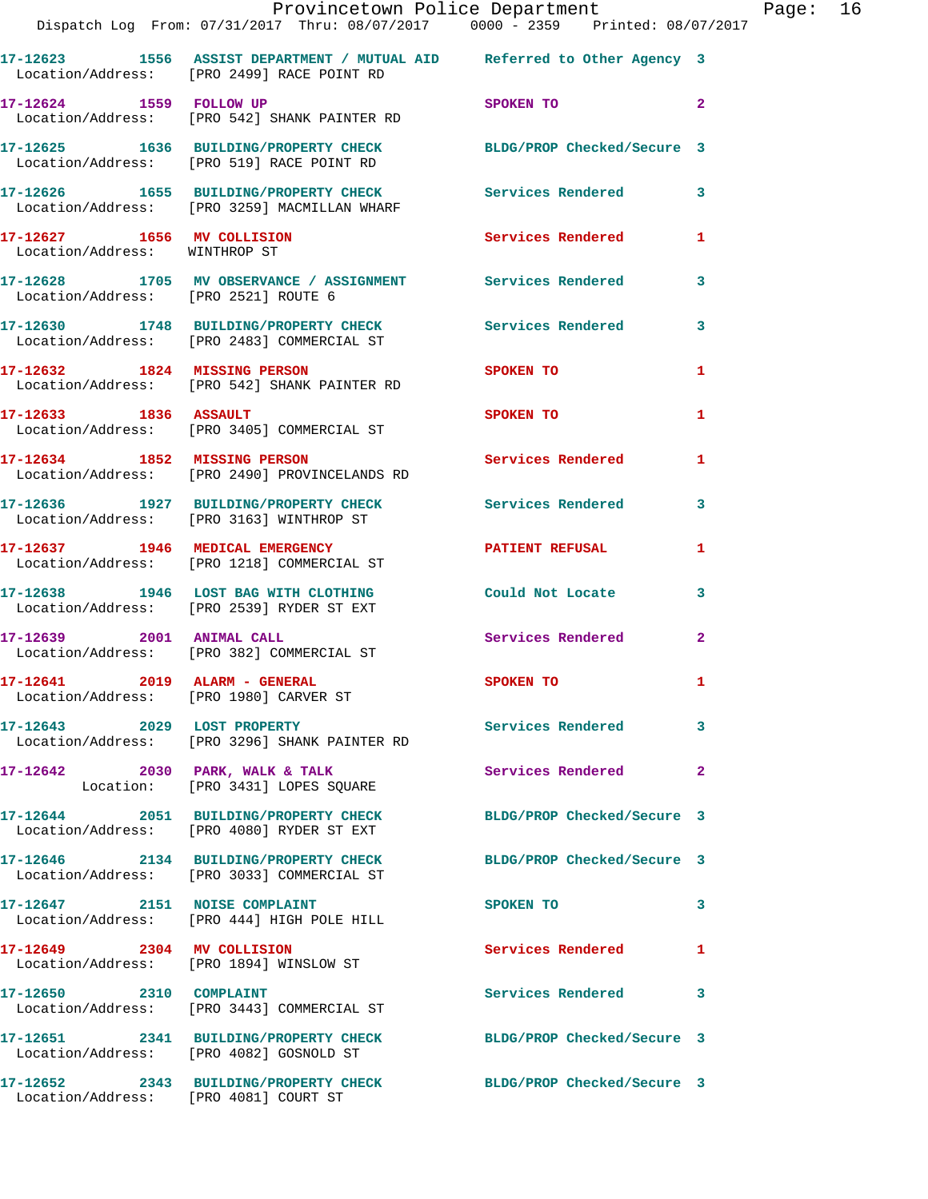|                                                                           | Provincetown Police Department<br>Dispatch Log From: 07/31/2017 Thru: 08/07/2017 0000 - 2359 Printed: 08/07/2017      |                            |                |
|---------------------------------------------------------------------------|-----------------------------------------------------------------------------------------------------------------------|----------------------------|----------------|
|                                                                           |                                                                                                                       |                            |                |
|                                                                           | 17-12623 1556 ASSIST DEPARTMENT / MUTUAL AID Referred to Other Agency 3<br>Location/Address: [PRO 2499] RACE POINT RD |                            |                |
| 17-12624 1559 FOLLOW UP                                                   | Location/Address: [PRO 542] SHANK PAINTER RD                                                                          | SPOKEN TO                  | $\overline{a}$ |
|                                                                           | 17-12625 1636 BUILDING/PROPERTY CHECK BLDG/PROP Checked/Secure 3<br>Location/Address: [PRO 519] RACE POINT RD         |                            |                |
|                                                                           | 17-12626 1655 BUILDING/PROPERTY CHECK Services Rendered<br>Location/Address: [PRO 3259] MACMILLAN WHARF               |                            | 3              |
| 17-12627 1656 MV COLLISION<br>Location/Address: WINTHROP ST               |                                                                                                                       | <b>Services Rendered</b>   | 1              |
| Location/Address: [PRO 2521] ROUTE 6                                      | 17-12628 1705 MV OBSERVANCE / ASSIGNMENT Services Rendered                                                            |                            | 3              |
|                                                                           | 17-12630 1748 BUILDING/PROPERTY CHECK<br>Location/Address: [PRO 2483] COMMERCIAL ST                                   | <b>Services Rendered</b>   | 3              |
|                                                                           | 17-12632 1824 MISSING PERSON<br>Location/Address: [PRO 542] SHANK PAINTER RD                                          | SPOKEN TO                  | 1              |
| 17-12633 1836 ASSAULT                                                     | Location/Address: [PRO 3405] COMMERCIAL ST                                                                            | SPOKEN TO                  | 1              |
|                                                                           | 17-12634 1852 MISSING PERSON<br>Location/Address: [PRO 2490] PROVINCELANDS RD                                         | <b>Services Rendered</b>   | 1              |
|                                                                           | 17-12636 1927 BUILDING/PROPERTY CHECK Services Rendered<br>Location/Address: [PRO 3163] WINTHROP ST                   |                            | 3              |
|                                                                           | 17-12637 1946 MEDICAL EMERGENCY<br>Location/Address: [PRO 1218] COMMERCIAL ST                                         | <b>PATIENT REFUSAL</b>     | 1              |
|                                                                           | 17-12638 1946 LOST BAG WITH CLOTHING<br>Location/Address: [PRO 2539] RYDER ST EXT                                     | Could Not Locate           | 3              |
| 17-12639 2001 ANIMAL CALL                                                 | Location/Address: [PRO 382] COMMERCIAL ST                                                                             | <b>Services Rendered</b>   | $\mathbf{2}$   |
| $17-12641$ 2019 ALARM - GENERAL<br>Location/Address: [PRO 1980] CARVER ST |                                                                                                                       | <b>SPOKEN TO</b>           |                |
|                                                                           | 17-12643 2029 LOST PROPERTY<br>Location/Address: [PRO 3296] SHANK PAINTER RD                                          | Services Rendered          | 3              |
|                                                                           | 17-12642 2030 PARK, WALK & TALK<br>Location: [PRO 3431] LOPES SQUARE                                                  | Services Rendered          | $\overline{2}$ |
|                                                                           | 17-12644 2051 BUILDING/PROPERTY CHECK<br>Location/Address: [PRO 4080] RYDER ST EXT                                    | BLDG/PROP Checked/Secure 3 |                |
|                                                                           | 17-12646 2134 BUILDING/PROPERTY CHECK<br>Location/Address: [PRO 3033] COMMERCIAL ST                                   | BLDG/PROP Checked/Secure 3 |                |
|                                                                           | 17-12647 2151 NOISE COMPLAINT<br>Location/Address: [PRO 444] HIGH POLE HILL                                           | SPOKEN TO                  | 3              |
| 17-12649 2304 MV COLLISION                                                | Location/Address: [PRO 1894] WINSLOW ST                                                                               | Services Rendered          | 1              |
| 17-12650 2310 COMPLAINT                                                   | Location/Address: [PRO 3443] COMMERCIAL ST                                                                            | Services Rendered          | 3              |
|                                                                           | 17-12651 2341 BUILDING/PROPERTY CHECK BLDG/PROP Checked/Secure 3<br>Location/Address: [PRO 4082] GOSNOLD ST           |                            |                |
|                                                                           | 17-12652 2343 BUILDING/PROPERTY CHECK BLDG/PROP Checked/Secure 3                                                      |                            |                |

Location/Address: [PRO 4081] COURT ST

Page:  $16 \n17$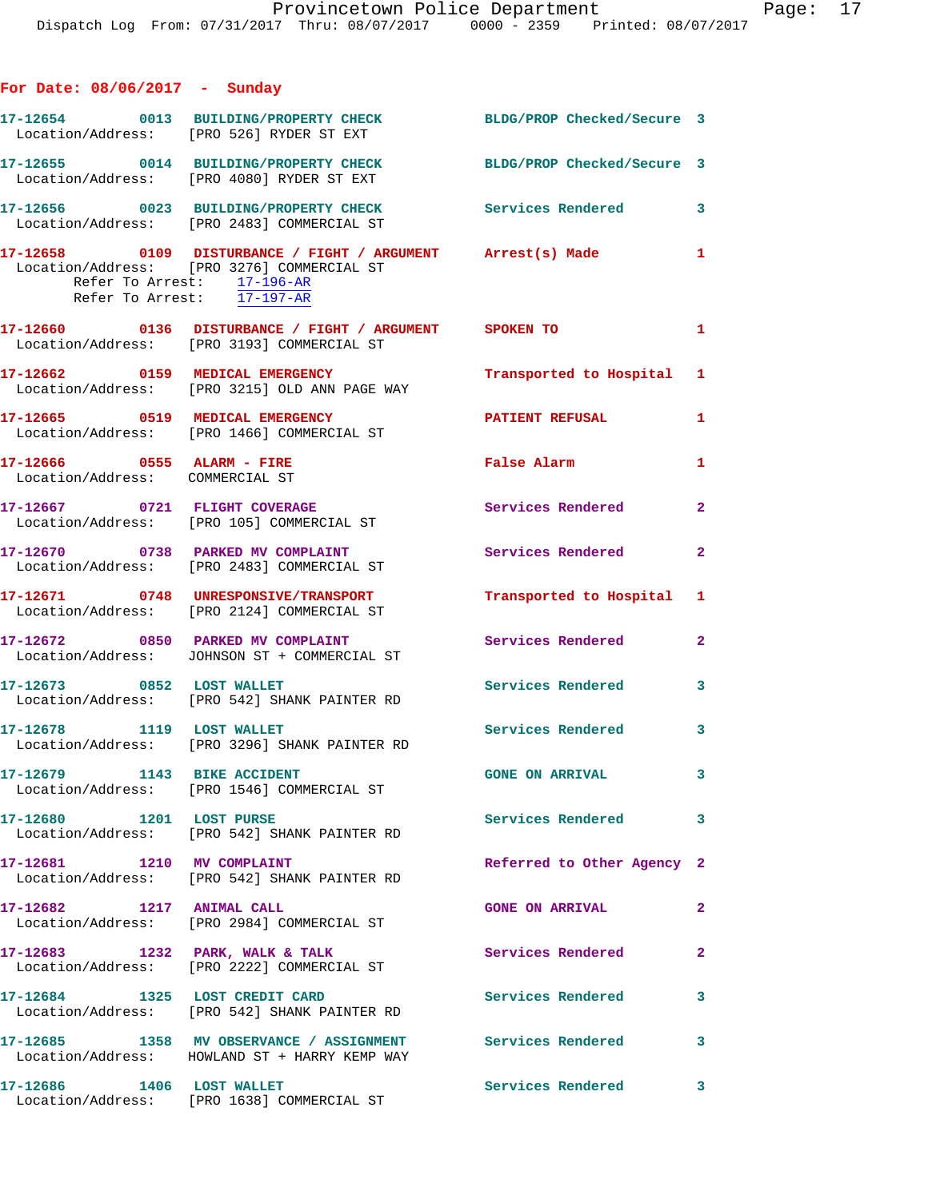| For Date: $08/06/2017 -$ Sunday                               |                                                                                                                                                |                            |              |
|---------------------------------------------------------------|------------------------------------------------------------------------------------------------------------------------------------------------|----------------------------|--------------|
|                                                               | 17-12654 0013 BUILDING/PROPERTY CHECK BLDG/PROP Checked/Secure 3<br>Location/Address: [PRO 526] RYDER ST EXT                                   |                            |              |
|                                                               | 17-12655 0014 BUILDING/PROPERTY CHECK<br>Location/Address: [PRO 4080] RYDER ST EXT                                                             | BLDG/PROP Checked/Secure 3 |              |
|                                                               | 17-12656 0023 BUILDING/PROPERTY CHECK<br>Location/Address: [PRO 2483] COMMERCIAL ST                                                            | Services Rendered 3        |              |
| Refer To Arrest: 17-197-AR                                    | 17-12658      0109 DISTURBANCE / FIGHT / ARGUMENT Arrest(s) Made 1<br>Location/Address: [PRO 3276] COMMERCIAL ST<br>Refer To Arrest: 17-196-AR |                            |              |
|                                                               | 17-12660 0136 DISTURBANCE / FIGHT / ARGUMENT SPOKEN TO<br>Location/Address: [PRO 3193] COMMERCIAL ST                                           |                            | $\mathbf{1}$ |
|                                                               | 17-12662 0159 MEDICAL EMERGENCY<br>Location/Address: [PRO 3215] OLD ANN PAGE WAY                                                               | Transported to Hospital 1  |              |
|                                                               | 17-12665 0519 MEDICAL EMERGENCY<br>Location/Address: [PRO 1466] COMMERCIAL ST                                                                  | <b>PATIENT REFUSAL</b>     | 1            |
| 17-12666 0555 ALARM - FIRE<br>Location/Address: COMMERCIAL ST |                                                                                                                                                | False Alarm                | $\mathbf{1}$ |
|                                                               | 17-12667 0721 FLIGHT COVERAGE<br>Location/Address: [PRO 105] COMMERCIAL ST                                                                     | <b>Services Rendered</b>   | $\mathbf{2}$ |
|                                                               | 17-12670 0738 PARKED MV COMPLAINT<br>Location/Address: [PRO 2483] COMMERCIAL ST                                                                | Services Rendered          | $\mathbf{2}$ |
|                                                               | 17-12671 0748 UNRESPONSIVE/TRANSPORT<br>Location/Address: [PRO 2124] COMMERCIAL ST                                                             | Transported to Hospital 1  |              |
|                                                               | 17-12672 0850 PARKED MV COMPLAINT<br>Location/Address: JOHNSON ST + COMMERCIAL ST                                                              | Services Rendered          | $\mathbf{2}$ |
| 17-12673 0852 LOST WALLET                                     | Location/Address: [PRO 542] SHANK PAINTER RD                                                                                                   | Services Rendered          | 3            |
| 17-12678 1119 LOST WALLET                                     | Location/Address: [PRO 3296] SHANK PAINTER RD                                                                                                  | Services Rendered 3        |              |
|                                                               | 17-12679 1143 BIKE ACCIDENT<br>Location/Address: [PRO 1546] COMMERCIAL ST                                                                      | <b>GONE ON ARRIVAL</b>     | 3            |
| 17-12680 1201 LOST PURSE                                      | Location/Address: [PRO 542] SHANK PAINTER RD                                                                                                   | Services Rendered          | 3            |
| 17-12681 1210 MV COMPLAINT                                    | Location/Address: [PRO 542] SHANK PAINTER RD                                                                                                   | Referred to Other Agency 2 |              |
| 17-12682 1217 ANIMAL CALL                                     | Location/Address: [PRO 2984] COMMERCIAL ST                                                                                                     | <b>GONE ON ARRIVAL</b>     | $\mathbf{2}$ |
|                                                               | 17-12683 1232 PARK, WALK & TALK<br>Location/Address: [PRO 2222] COMMERCIAL ST                                                                  | Services Rendered          | $\mathbf{2}$ |
| 17-12684 1325 LOST CREDIT CARD                                | Location/Address: [PRO 542] SHANK PAINTER RD                                                                                                   | Services Rendered          | 3            |
|                                                               | 17-12685 1358 MV OBSERVANCE / ASSIGNMENT<br>Location/Address: HOWLAND ST + HARRY KEMP WAY                                                      | Services Rendered          | 3            |
| 17-12686 1406 LOST WALLET                                     | Location/Address: [PRO 1638] COMMERCIAL ST                                                                                                     | Services Rendered          | 3            |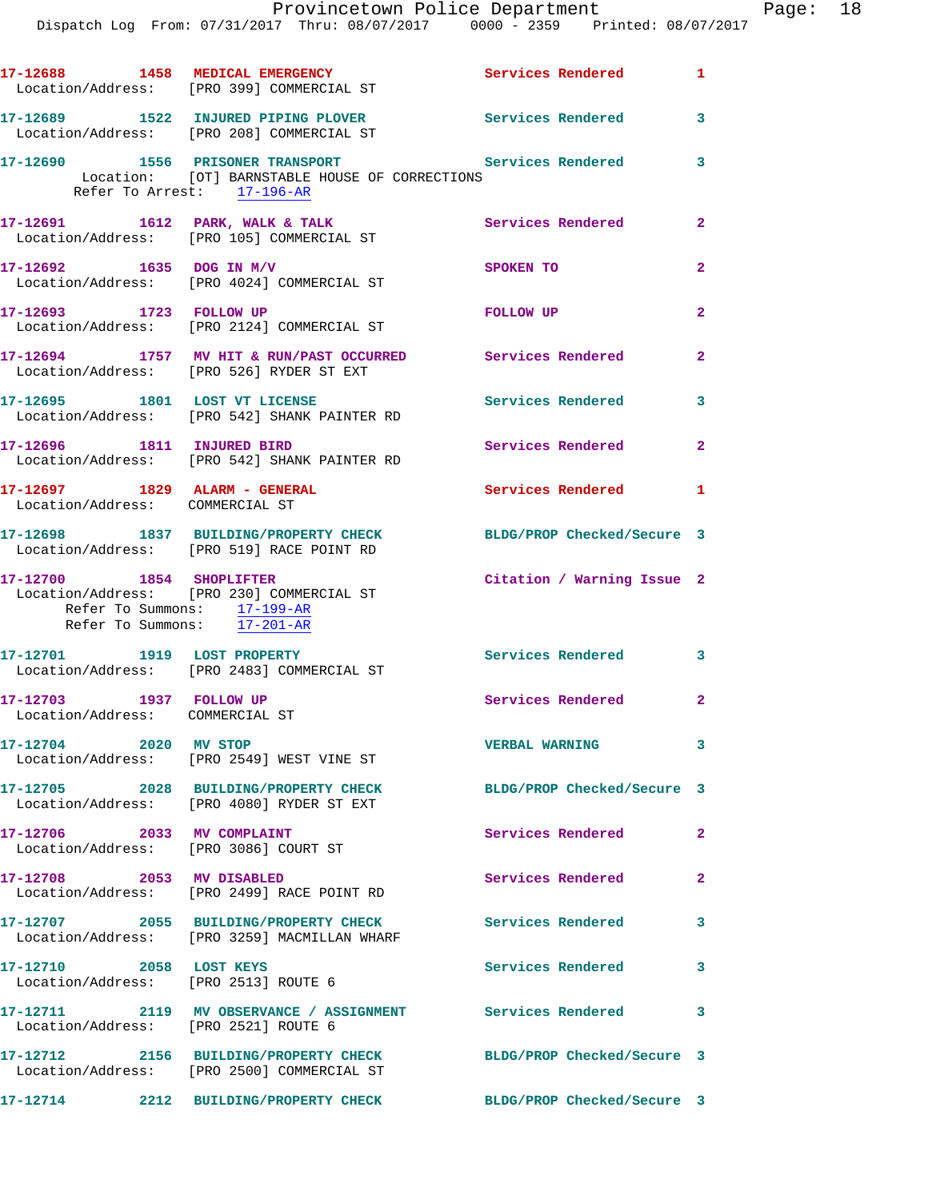|                         | 17-12688 1458 MEDICAL EMERGENCY<br>Location/Address: [PRO 399] COMMERCIAL ST                                                        | Services Rendered 1        |                |
|-------------------------|-------------------------------------------------------------------------------------------------------------------------------------|----------------------------|----------------|
|                         | 17-12689 1522 INJURED PIPING PLOVER<br>Location/Address: [PRO 208] COMMERCIAL ST                                                    | Services Rendered 3        |                |
|                         | 17-12690 1556 PRISONER TRANSPORT<br>Location: [OT] BARNSTABLE HOUSE OF CORRECTIONS<br>Refer To Arrest: 17-196-AR                    | <b>Services Rendered</b>   | 3              |
|                         | 17-12691 1612 PARK, WALK & TALK<br>Location/Address: [PRO 105] COMMERCIAL ST                                                        | Services Rendered 2        |                |
|                         | 17-12692 1635 DOG IN M/V<br>Location/Address: [PRO 4024] COMMERCIAL ST                                                              | SPOKEN TO                  | $\overline{2}$ |
|                         | 17-12693 1723 FOLLOW UP<br>Location/Address: [PRO 2124] COMMERCIAL ST                                                               | FOLLOW UP                  | $\mathbf{2}$   |
|                         | 17-12694 1757 MV HIT & RUN/PAST OCCURRED Services Rendered<br>Location/Address: [PRO 526] RYDER ST EXT                              |                            | $\mathbf{2}$   |
|                         | 17-12695 1801 LOST VT LICENSE<br>Location/Address: [PRO 542] SHANK PAINTER RD                                                       | <b>Services Rendered</b>   | 3              |
|                         | 17-12696 1811 INJURED BIRD<br>Location/Address: [PRO 542] SHANK PAINTER RD                                                          | Services Rendered 2        |                |
|                         | 17-12697 1829 ALARM - GENERAL<br>Location/Address: COMMERCIAL ST                                                                    | Services Rendered 1        |                |
|                         | 17-12698 1837 BUILDING/PROPERTY CHECK<br>Location/Address: [PRO 519] RACE POINT RD                                                  | BLDG/PROP Checked/Secure 3 |                |
|                         | 17-12700 1854 SHOPLIFTER<br>Location/Address: [PRO 230] COMMERCIAL ST<br>Refer To Summons: 17-199-AR<br>Refer To Summons: 17-201-AR | Citation / Warning Issue 2 |                |
|                         | 17-12701 1919 LOST PROPERTY<br>Location/Address: [PRO 2483] COMMERCIAL ST                                                           | Services Rendered 3        |                |
| 17-12703 1937 FOLLOW UP | Location/Address: COMMERCIAL ST                                                                                                     | Services Rendered 2        |                |
| 17-12704 2020 MV STOP   | Location/Address: [PRO 2549] WEST VINE ST                                                                                           | <b>VERBAL WARNING</b>      | 3              |
|                         | 17-12705 2028 BUILDING/PROPERTY CHECK<br>Location/Address: [PRO 4080] RYDER ST EXT                                                  | BLDG/PROP Checked/Secure 3 |                |
|                         | 17-12706 2033 MV COMPLAINT<br>Location/Address: [PRO 3086] COURT ST                                                                 | Services Rendered          | $\mathbf{2}$   |
|                         | 17-12708 2053 MV DISABLED<br>Location/Address: [PRO 2499] RACE POINT RD                                                             | Services Rendered          | $\mathbf{2}$   |
|                         | 17-12707 2055 BUILDING/PROPERTY CHECK<br>Location/Address: [PRO 3259] MACMILLAN WHARF                                               | <b>Services Rendered</b>   | 3              |
| 17-12710 2058 LOST KEYS | Location/Address: [PRO 2513] ROUTE 6                                                                                                | Services Rendered          | 3              |
|                         | 17-12711 2119 MV OBSERVANCE / ASSIGNMENT Services Rendered<br>Location/Address: [PRO 2521] ROUTE 6                                  |                            | 3              |
|                         | 17-12712 2156 BUILDING/PROPERTY CHECK<br>Location/Address: [PRO 2500] COMMERCIAL ST                                                 | BLDG/PROP Checked/Secure 3 |                |
|                         | 17-12714 2212 BUILDING/PROPERTY CHECK BLDG/PROP Checked/Secure 3                                                                    |                            |                |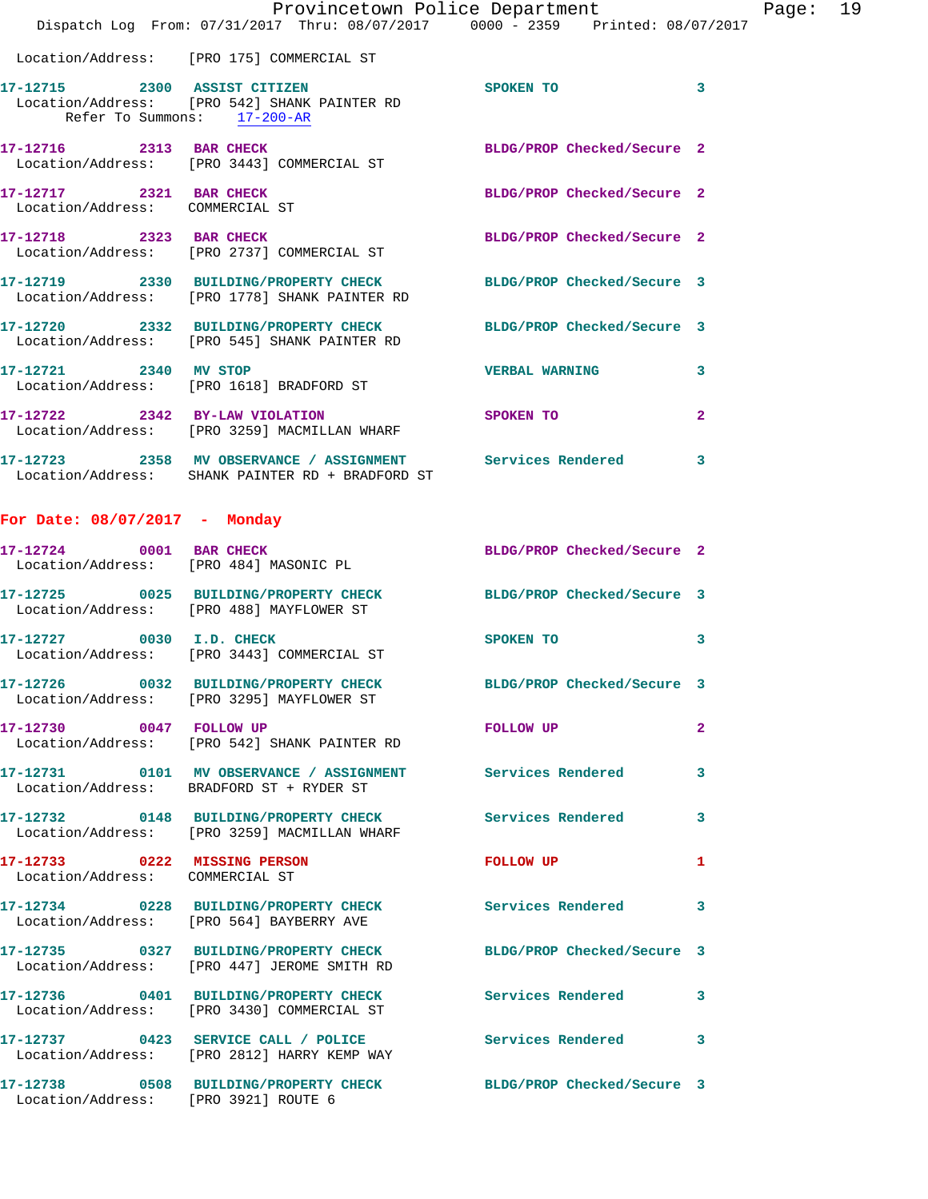|                                                                 | Provincetown Police Department<br>Dispatch Log From: 07/31/2017 Thru: 08/07/2017 0000 - 2359 Printed: 08/07/2017  |                            |                |
|-----------------------------------------------------------------|-------------------------------------------------------------------------------------------------------------------|----------------------------|----------------|
|                                                                 | Location/Address: [PRO 175] COMMERCIAL ST                                                                         |                            |                |
|                                                                 | 17-12715 2300 ASSIST CITIZEN<br>Location/Address: [PRO 542] SHANK PAINTER RD<br>Refer To Summons: 17-200-AR       | SPOKEN TO                  | 3              |
|                                                                 | 17-12716 2313 BAR CHECK<br>Location/Address: [PRO 3443] COMMERCIAL ST                                             | BLDG/PROP Checked/Secure 2 |                |
| 17-12717 2321 BAR CHECK<br>Location/Address: COMMERCIAL ST      |                                                                                                                   | BLDG/PROP Checked/Secure 2 |                |
| 17-12718 2323 BAR CHECK                                         | Location/Address: [PRO 2737] COMMERCIAL ST                                                                        | BLDG/PROP Checked/Secure 2 |                |
|                                                                 | 17-12719 2330 BUILDING/PROPERTY CHECK BLDG/PROP Checked/Secure 3<br>Location/Address: [PRO 1778] SHANK PAINTER RD |                            |                |
|                                                                 | 17-12720 2332 BUILDING/PROPERTY CHECK<br>Location/Address: [PRO 545] SHANK PAINTER RD                             | BLDG/PROP Checked/Secure 3 |                |
| 17-12721 2340 MV STOP                                           | Location/Address: [PRO 1618] BRADFORD ST                                                                          | <b>VERBAL WARNING</b>      | 3              |
| 17-12722 2342 BY-LAW VIOLATION                                  | Location/Address: [PRO 3259] MACMILLAN WHARF                                                                      | SPOKEN TO                  | $\overline{a}$ |
|                                                                 | 17-12723 2358 MV OBSERVANCE / ASSIGNMENT Services Rendered<br>Location/Address: SHANK PAINTER RD + BRADFORD ST    |                            | 3              |
| For Date: $08/07/2017$ - Monday                                 |                                                                                                                   |                            |                |
|                                                                 | 17-12724 0001 BAR CHECK<br>Location/Address: [PRO 484] MASONIC PL                                                 | BLDG/PROP Checked/Secure 2 |                |
|                                                                 | 17-12725 0025 BUILDING/PROPERTY CHECK BLDG/PROP Checked/Secure 3<br>Location/Address: [PRO 488] MAYFLOWER ST      |                            |                |
|                                                                 | 17-12727 0030 I.D. CHECK<br>Location/Address: [PRO 3443] COMMERCIAL ST                                            | SPOKEN TO                  | 3              |
|                                                                 | 17-12726 0032 BUILDING/PROPERTY CHECK BLDG/PROP Checked/Secure 3<br>Location/Address: [PRO 3295] MAYFLOWER ST     |                            |                |
|                                                                 | 17-12730 0047 FOLLOW UP<br>Location/Address: [PRO 542] SHANK PAINTER RD                                           | FOLLOW UP                  | $\mathbf{2}$   |
|                                                                 | 17-12731 0101 MV OBSERVANCE / ASSIGNMENT Services Rendered<br>Location/Address: BRADFORD ST + RYDER ST            |                            | 3              |
|                                                                 | 17-12732 0148 BUILDING/PROPERTY CHECK Services Rendered<br>Location/Address: [PRO 3259] MACMILLAN WHARF           |                            | 3              |
| 17-12733 0222 MISSING PERSON<br>Location/Address: COMMERCIAL ST |                                                                                                                   | <b>FOLLOW UP</b>           | 1              |
|                                                                 | 17-12734 0228 BUILDING/PROPERTY CHECK Services Rendered<br>Location/Address: [PRO 564] BAYBERRY AVE               |                            | 3              |
|                                                                 | 17-12735 0327 BUILDING/PROPERTY CHECK BLDG/PROP Checked/Secure 3<br>Location/Address: [PRO 447] JEROME SMITH RD   |                            |                |
|                                                                 | 17-12736 0401 BUILDING/PROPERTY CHECK Services Rendered<br>Location/Address: [PRO 3430] COMMERCIAL ST             |                            | 3              |
|                                                                 | 17-12737 0423 SERVICE CALL / POLICE Services Rendered<br>Location/Address: [PRO 2812] HARRY KEMP WAY              |                            | 3              |
|                                                                 | 17-12738 0508 BUILDING/PROPERTY CHECK BLDG/PROP Checked/Secure 3                                                  |                            |                |

Location/Address: [PRO 3921] ROUTE 6

Page:  $19$